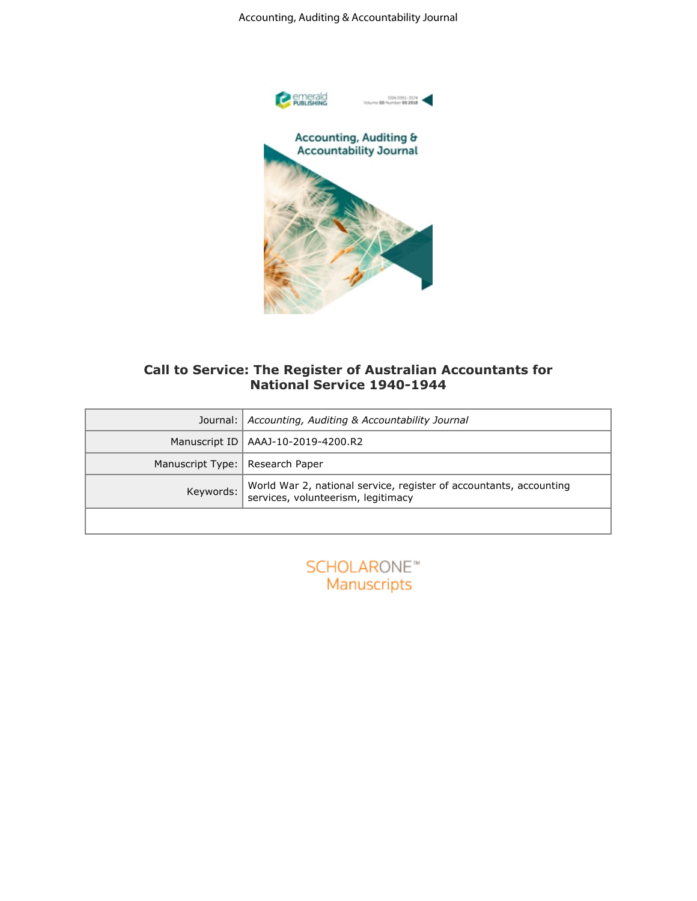

## **Call to Service: The Register of Australian Accountants for National Service 1940-1944**

|                               | Accounting, Auditing & Accountability Journal                                                                                  |
|-------------------------------|--------------------------------------------------------------------------------------------------------------------------------|
|                               | emerald<br>Publishing<br>ISSN 0951-3574<br>Volume 00 Number 00 2018<br>Accounting, Auditing &<br><b>Accountability Journal</b> |
|                               | Call to Service: The Register of Australian Accountants for<br><b>National Service 1940-1944</b>                               |
| Journal:                      | Accounting, Auditing & Accountability Journal                                                                                  |
| Manuscript ID                 | AAAJ-10-2019-4200.R2                                                                                                           |
| Manuscript Type:<br>Keywords: | Research Paper<br>World War 2, national service, register of accountants, accounting<br>services, volunteerism, legitimacy     |
|                               |                                                                                                                                |
|                               | <b>SCHOLARONE™</b><br>Manuscripts                                                                                              |
|                               |                                                                                                                                |
|                               |                                                                                                                                |
|                               |                                                                                                                                |
|                               |                                                                                                                                |

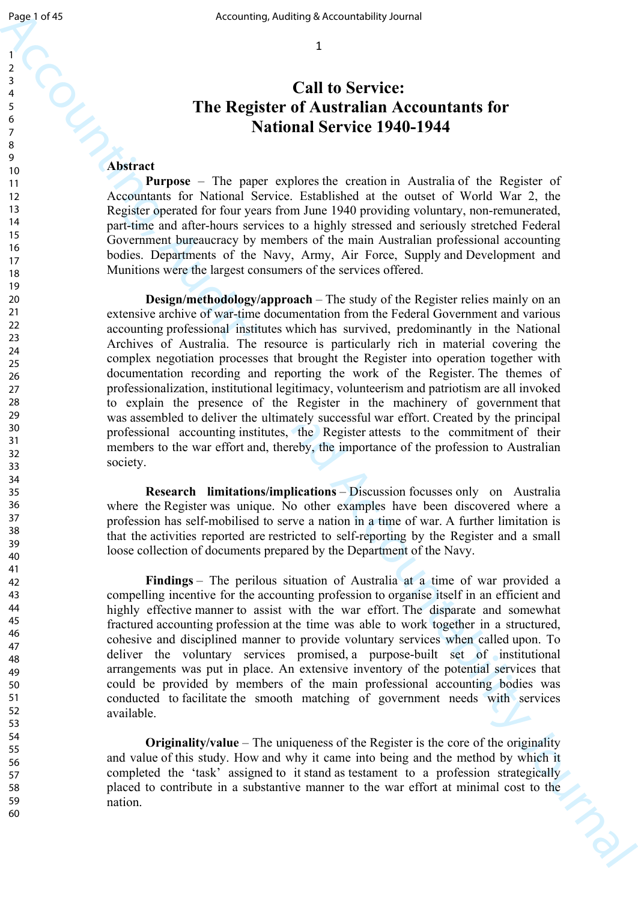# **Call to Service: The Register of Australian Accountants for National Service 1940-1944**

#### **Abstract**

**Purpose** – The paper explores the creation in Australia of the Register of Accountants for National Service. Established at the outset of World War 2, the Register operated for four years from June 1940 providing voluntary, non-remunerated, part-time and after-hours services to a highly stressed and seriously stretched Federal Government bureaucracy by members of the main Australian professional accounting bodies. Departments of the Navy, Army, Air Force, Supply and Development and Munitions were the largest consumers of the services offered.

Accounting, Actions are active and Accounting and Accounting and Account and Accounting for  $\frac{1}{2}$ <br>
Accounting and Accounting Securities (Securities 1940–1944)<br>
The Register of Australian Accountability of Equivalents **Design/methodology/approach** – The study of the Register relies mainly on an extensive archive of war-time documentation from the Federal Government and various accounting professional institutes which has survived, predominantly in the National Archives of Australia. The resource is particularly rich in material covering the complex negotiation processes that brought the Register into operation together with documentation recording and reporting the work of the Register. The themes of professionalization, institutional legitimacy, volunteerism and patriotism are all invoked to explain the presence of the Register in the machinery of government that was assembled to deliver the ultimately successful war effort. Created by the principal professional accounting institutes, the Register attests to the commitment of their members to the war effort and, thereby, the importance of the profession to Australian society.

**Research limitations/implications** – Discussion focusses only on Australia where the Register was unique. No other examples have been discovered where a profession has self-mobilised to serve a nation in a time of war. A further limitation is that the activities reported are restricted to self-reporting by the Register and a small loose collection of documents prepared by the Department of the Navy.

**Findings** – The perilous situation of Australia at a time of war provided a compelling incentive for the accounting profession to organise itself in an efficient and highly effective manner to assist with the war effort. The disparate and somewhat fractured accounting profession at the time was able to work together in a structured, cohesive and disciplined manner to provide voluntary services when called upon. To deliver the voluntary services promised, a purpose-built set of institutional arrangements was put in place. An extensive inventory of the potential services that could be provided by members of the main professional accounting bodies was conducted to facilitate the smooth matching of government needs with services available.

**Originality/value** – The uniqueness of the Register is the core of the originality and value of this study. How and why it came into being and the method by which it completed the 'task' assigned to it stand as testament to a profession strategically placed to contribute in a substantive manner to the war effort at minimal cost to the nation.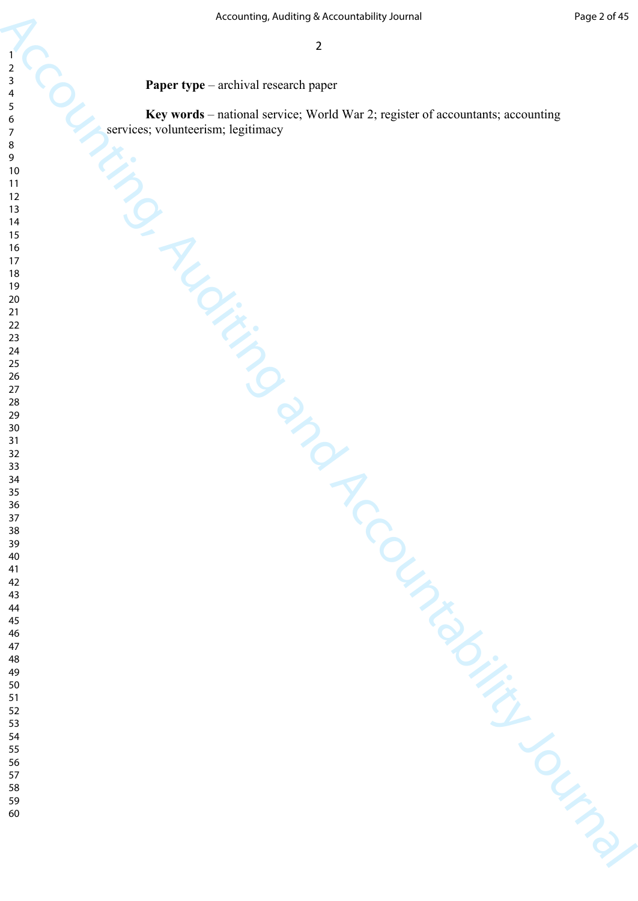**Paper type** – archival research paper

Accounting, Adding the Accountability Journal of Accountability Journal of Accountability Journal of Accountability Journal of Accountability Journal of Accountability Journal of Accountability Journal of Accountability Jo **Key words** – national service; World War 2; register of accountants; accounting services; volunteerism; legitimacy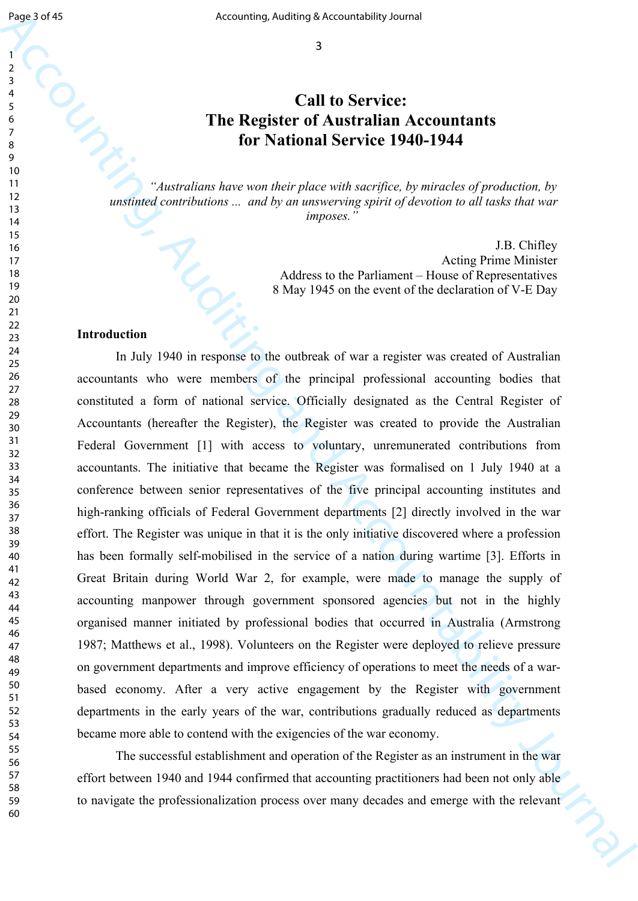## **Call to Service: The Register of Australian Accountants for National Service 1940-1944**

*"Australians have won their place with sacrifice, by miracles of production, by unstinted contributions ... and by an unswerving spirit of devotion to all tasks that war imposes."*

> J.B. Chifley Acting Prime Minister Address to the Parliament – House of Representatives 8 May 1945 on the event of the declaration of V-E Day

#### **Introduction**

Equal of the Mathematic Section of the Mathematic Section of the Service C and T and C Service C 111 to Service contrast to the Service C 111 to Service C 111 to Service C 111 to Service C 111 to Service C 111 to Service In July 1940 in response to the outbreak of war a register was created of Australian accountants who were members of the principal professional accounting bodies that constituted a form of national service. Officially designated as the Central Register of Accountants (hereafter the Register), the Register was created to provide the Australian Federal Government [1] with access to voluntary, unremunerated contributions from accountants. The initiative that became the Register was formalised on 1 July 1940 at a conference between senior representatives of the five principal accounting institutes and high-ranking officials of Federal Government departments [2] directly involved in the war effort. The Register was unique in that it is the only initiative discovered where a profession has been formally self-mobilised in the service of a nation during wartime [3]. Efforts in Great Britain during World War 2, for example, were made to manage the supply of accounting manpower through government sponsored agencies but not in the highly organised manner initiated by professional bodies that occurred in Australia (Armstrong 1987; Matthews et al., 1998). Volunteers on the Register were deployed to relieve pressure on government departments and improve efficiency of operations to meet the needs of a warbased economy. After a very active engagement by the Register with government departments in the early years of the war, contributions gradually reduced as departments became more able to contend with the exigencies of the war economy.

The successful establishment and operation of the Register as an instrument in the war effort between 1940 and 1944 confirmed that accounting practitioners had been not only able to navigate the professionalization process over many decades and emerge with the relevant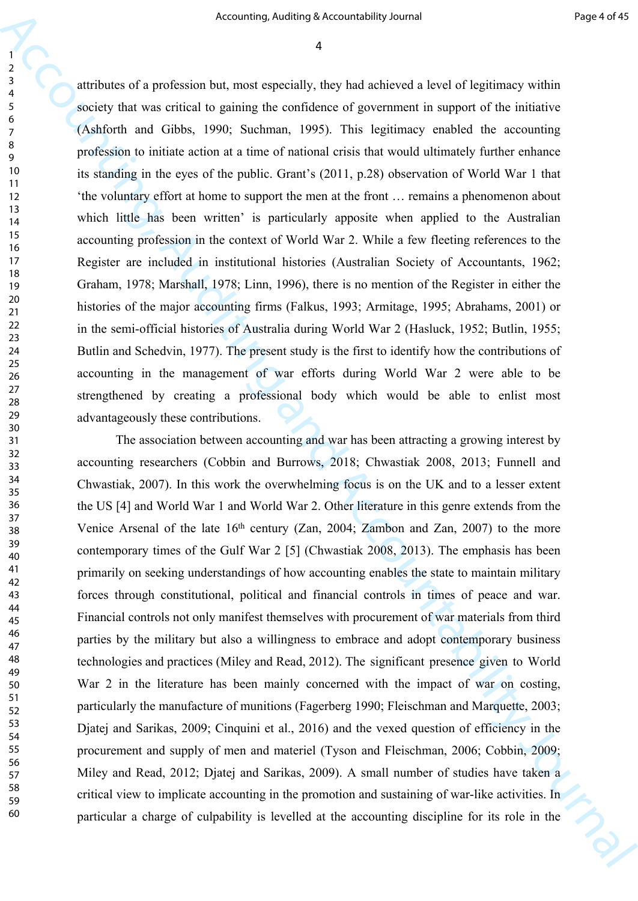attributes of a profession but, most especially, they had achieved a level of legitimacy within society that was critical to gaining the confidence of government in support of the initiative (Ashforth and Gibbs, 1990; Suchman, 1995). This legitimacy enabled the accounting profession to initiate action at a time of national crisis that would ultimately further enhance its standing in the eyes of the public. Grant's (2011, p.28) observation of World War 1 that 'the voluntary effort at home to support the men at the front … remains a phenomenon about which little has been written' is particularly apposite when applied to the Australian accounting profession in the context of World War 2. While a few fleeting references to the Register are included in institutional histories (Australian Society of Accountants, 1962; Graham, 1978; Marshall, 1978; Linn, 1996), there is no mention of the Register in either the histories of the major accounting firms (Falkus, 1993; Armitage, 1995; Abrahams, 2001) or in the semi-official histories of Australia during World War 2 (Hasluck, 1952; Butlin, 1955; Butlin and Schedvin, 1977). The present study is the first to identify how the contributions of accounting in the management of war efforts during World War 2 were able to be strengthened by creating a professional body which would be able to enlist most advantageously these contributions.

Accounting, Antimax because below they is the change in the change of the change of the continue of the continue of the continue of the continue of the continue of the continue of the continue of the continue of the conti The association between accounting and war has been attracting a growing interest by accounting researchers (Cobbin and Burrows, 2018; Chwastiak 2008, 2013; Funnell and Chwastiak, 2007). In this work the overwhelming focus is on the UK and to a lesser extent the US [4] and World War 1 and World War 2. Other literature in this genre extends from the Venice Arsenal of the late 16th century (Zan, 2004; Zambon and Zan, 2007) to the more contemporary times of the Gulf War 2 [5] (Chwastiak 2008, 2013). The emphasis has been primarily on seeking understandings of how accounting enables the state to maintain military forces through constitutional, political and financial controls in times of peace and war. Financial controls not only manifest themselves with procurement of war materials from third parties by the military but also a willingness to embrace and adopt contemporary business technologies and practices (Miley and Read, 2012). The significant presence given to World War 2 in the literature has been mainly concerned with the impact of war on costing, particularly the manufacture of munitions (Fagerberg 1990; Fleischman and Marquette, 2003; Djatej and Sarikas, 2009; Cinquini et al., 2016) and the vexed question of efficiency in the procurement and supply of men and materiel (Tyson and Fleischman, 2006; Cobbin, 2009; Miley and Read, 2012; Djatej and Sarikas, 2009). A small number of studies have taken a critical view to implicate accounting in the promotion and sustaining of war-like activities. In particular a charge of culpability is levelled at the accounting discipline for its role in the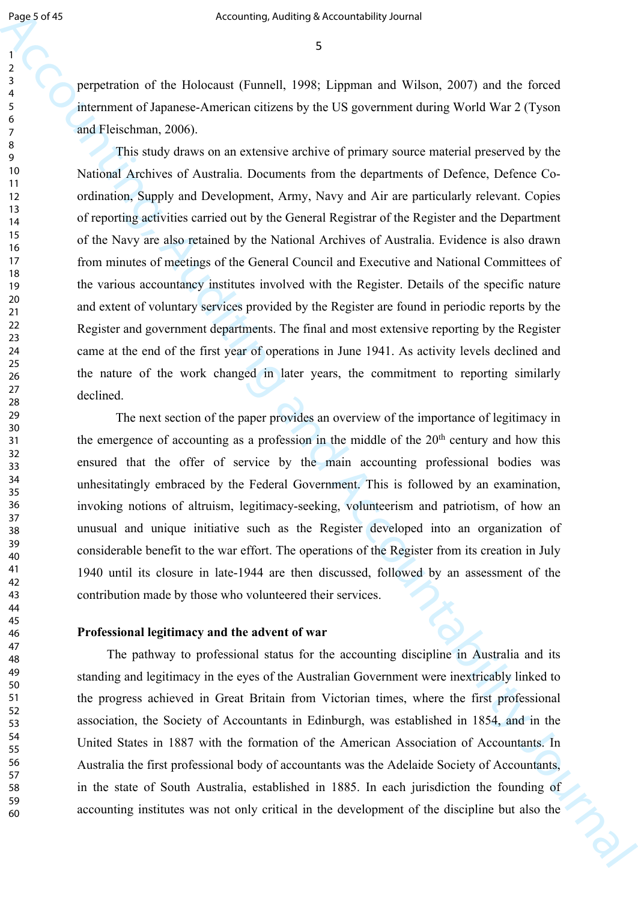perpetration of the Holocaust (Funnell, 1998; Lippman and Wilson, 2007) and the forced internment of Japanese-American citizens by the US government during World War 2 (Tyson and Fleischman, 2006).

Equal of the state of the Relactions of the Theorem (Note 13)<br>
Accounting Accountability Direct and Wikes, 2007) and the free of the<br>counter of the Holections children in the US government while World War 2 (Typin)<br>
and This study draws on an extensive archive of primary source material preserved by the National Archives of Australia. Documents from the departments of Defence, Defence Coordination, Supply and Development, Army, Navy and Air are particularly relevant. Copies of reporting activities carried out by the General Registrar of the Register and the Department of the Navy are also retained by the National Archives of Australia. Evidence is also drawn from minutes of meetings of the General Council and Executive and National Committees of the various accountancy institutes involved with the Register. Details of the specific nature and extent of voluntary services provided by the Register are found in periodic reports by the Register and government departments. The final and most extensive reporting by the Register came at the end of the first year of operations in June 1941. As activity levels declined and the nature of the work changed in later years, the commitment to reporting similarly declined.

The next section of the paper provides an overview of the importance of legitimacy in the emergence of accounting as a profession in the middle of the  $20<sup>th</sup>$  century and how this ensured that the offer of service by the main accounting professional bodies was unhesitatingly embraced by the Federal Government. This is followed by an examination, invoking notions of altruism, legitimacy-seeking, volunteerism and patriotism, of how an unusual and unique initiative such as the Register developed into an organization of considerable benefit to the war effort. The operations of the Register from its creation in July 1940 until its closure in late-1944 are then discussed, followed by an assessment of the contribution made by those who volunteered their services.

#### **Professional legitimacy and the advent of war**

The pathway to professional status for the accounting discipline in Australia and its standing and legitimacy in the eyes of the Australian Government were inextricably linked to the progress achieved in Great Britain from Victorian times, where the first professional association, the Society of Accountants in Edinburgh, was established in 1854, and in the United States in 1887 with the formation of the American Association of Accountants. In Australia the first professional body of accountants was the Adelaide Society of Accountants, in the state of South Australia, established in 1885. In each jurisdiction the founding of accounting institutes was not only critical in the development of the discipline but also the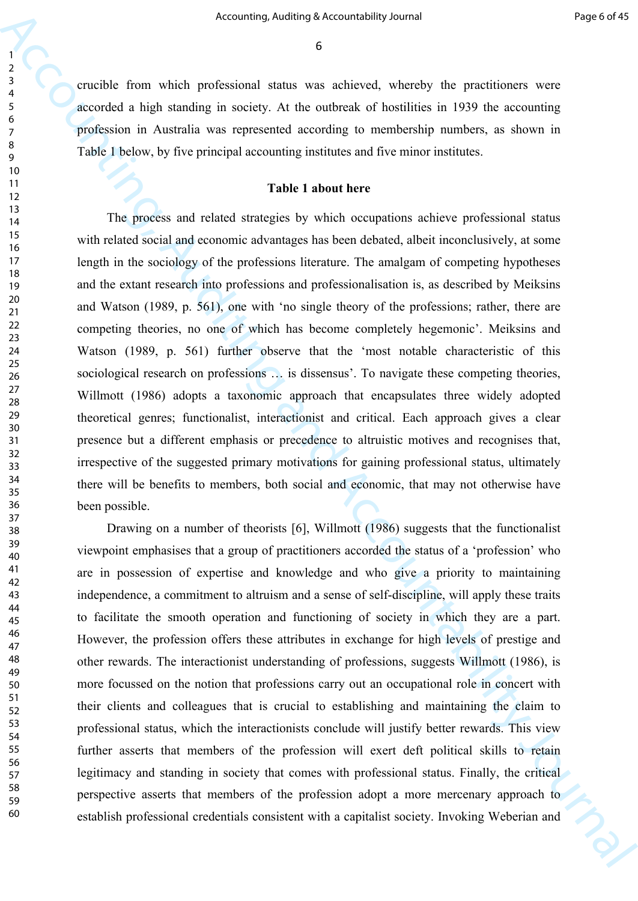crucible from which professional status was achieved, whereby the practitioners were accorded a high standing in society. At the outbreak of hostilities in 1939 the accounting profession in Australia was represented according to membership numbers, as shown in Table 1 below, by five principal accounting institutes and five minor institutes.

#### **Table 1 about here**

Accounting, Addinis a Accounting, Anders is  $\theta$  and the spectral of the spectral of the spectral of the spectral of the spectral of the spectral of the spectral of the spectral of the spectral of the spectral of the spec The process and related strategies by which occupations achieve professional status with related social and economic advantages has been debated, albeit inconclusively, at some length in the sociology of the professions literature. The amalgam of competing hypotheses and the extant research into professions and professionalisation is, as described by Meiksins and Watson (1989, p. 561), one with 'no single theory of the professions; rather, there are competing theories, no one of which has become completely hegemonic'. Meiksins and Watson (1989, p. 561) further observe that the 'most notable characteristic of this sociological research on professions … is dissensus'. To navigate these competing theories, Willmott (1986) adopts a taxonomic approach that encapsulates three widely adopted theoretical genres; functionalist, interactionist and critical. Each approach gives a clear presence but a different emphasis or precedence to altruistic motives and recognises that, irrespective of the suggested primary motivations for gaining professional status, ultimately there will be benefits to members, both social and economic, that may not otherwise have been possible.

Drawing on a number of theorists [6], Willmott (1986) suggests that the functionalist viewpoint emphasises that a group of practitioners accorded the status of a 'profession' who are in possession of expertise and knowledge and who give a priority to maintaining independence, a commitment to altruism and a sense of self-discipline, will apply these traits to facilitate the smooth operation and functioning of society in which they are a part. However, the profession offers these attributes in exchange for high levels of prestige and other rewards. The interactionist understanding of professions, suggests Willmott (1986), is more focussed on the notion that professions carry out an occupational role in concert with their clients and colleagues that is crucial to establishing and maintaining the claim to professional status, which the interactionists conclude will justify better rewards. This view further asserts that members of the profession will exert deft political skills to retain legitimacy and standing in society that comes with professional status. Finally, the critical perspective asserts that members of the profession adopt a more mercenary approach to establish professional credentials consistent with a capitalist society. Invoking Weberian and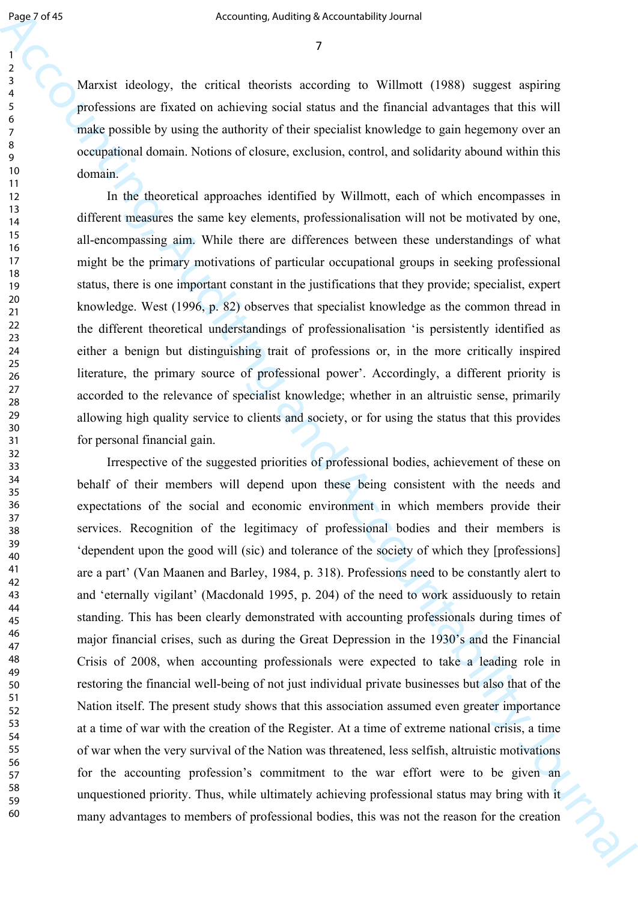Marxist ideology, the critical theorists according to Willmott (1988) suggest aspiring professions are fixated on achieving social status and the financial advantages that this will make possible by using the authority of their specialist knowledge to gain hegemony over an occupational domain. Notions of closure, exclusion, control, and solidarity abound within this domain.

In the theoretical approaches identified by Willmott, each of which encompasses in different measures the same key elements, professionalisation will not be motivated by one, all-encompassing aim. While there are differences between these understandings of what might be the primary motivations of particular occupational groups in seeking professional status, there is one important constant in the justifications that they provide; specialist, expert knowledge. West (1996, p. 82) observes that specialist knowledge as the common thread in the different theoretical understandings of professionalisation 'is persistently identified as either a benign but distinguishing trait of professions or, in the more critically inspired literature, the primary source of professional power'. Accordingly, a different priority is accorded to the relevance of specialist knowledge; whether in an altruistic sense, primarily allowing high quality service to clients and society, or for using the status that this provides for personal financial gain.

Equal of the state of the continuum observated big backwideling backwideling backwideling and the state of the state of the state of the state of the state of the state of the state of the state of the state of the state Irrespective of the suggested priorities of professional bodies, achievement of these on behalf of their members will depend upon these being consistent with the needs and expectations of the social and economic environment in which members provide their services. Recognition of the legitimacy of professional bodies and their members is 'dependent upon the good will (sic) and tolerance of the society of which they [professions] are a part' (Van Maanen and Barley, 1984, p. 318). Professions need to be constantly alert to and 'eternally vigilant' (Macdonald 1995, p. 204) of the need to work assiduously to retain standing. This has been clearly demonstrated with accounting professionals during times of major financial crises, such as during the Great Depression in the 1930's and the Financial Crisis of 2008, when accounting professionals were expected to take a leading role in restoring the financial well-being of not just individual private businesses but also that of the Nation itself. The present study shows that this association assumed even greater importance at a time of war with the creation of the Register. At a time of extreme national crisis, a time of war when the very survival of the Nation was threatened, less selfish, altruistic motivations for the accounting profession's commitment to the war effort were to be given an unquestioned priority. Thus, while ultimately achieving professional status may bring with it many advantages to members of professional bodies, this was not the reason for the creation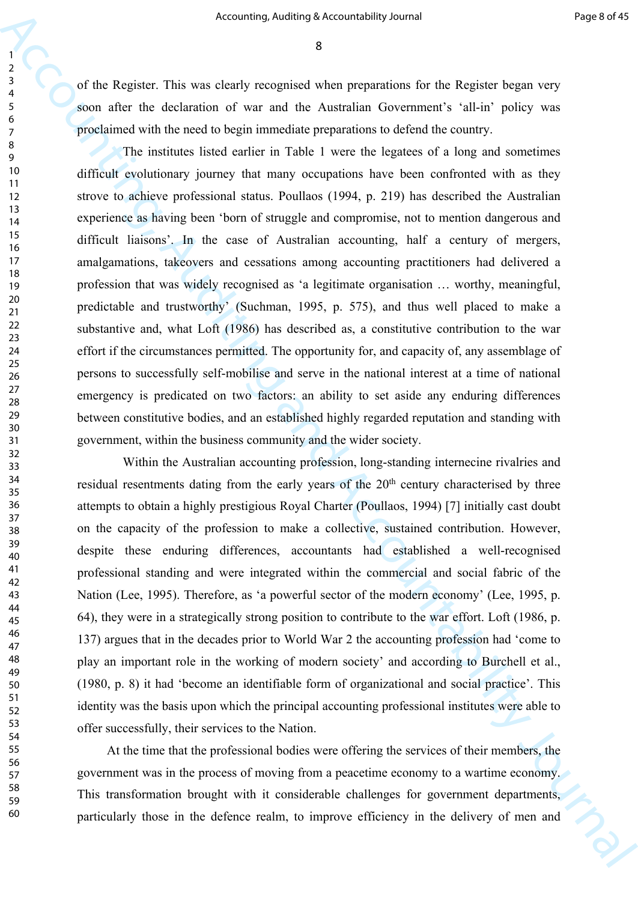of the Register. This was clearly recognised when preparations for the Register began very soon after the declaration of war and the Australian Government's 'all-in' policy was proclaimed with the need to begin immediate preparations to defend the country.

Accounting, Additing a becometablity Journal Frame Constitution ( $\frac{1}{2}$ <br>
2. The Replace This was density reception when researchies for the Replace heges of the Replace This and Accounting the Constitution of war task The institutes listed earlier in Table 1 were the legatees of a long and sometimes difficult evolutionary journey that many occupations have been confronted with as they strove to achieve professional status. Poullaos (1994, p. 219) has described the Australian experience as having been 'born of struggle and compromise, not to mention dangerous and difficult liaisons'. In the case of Australian accounting, half a century of mergers, amalgamations, takeovers and cessations among accounting practitioners had delivered a profession that was widely recognised as 'a legitimate organisation … worthy, meaningful, predictable and trustworthy' (Suchman, 1995, p. 575), and thus well placed to make a substantive and, what Loft (1986) has described as, a constitutive contribution to the war effort if the circumstances permitted. The opportunity for, and capacity of, any assemblage of persons to successfully self-mobilise and serve in the national interest at a time of national emergency is predicated on two factors: an ability to set aside any enduring differences between constitutive bodies, and an established highly regarded reputation and standing with government, within the business community and the wider society.

Within the Australian accounting profession, long-standing internecine rivalries and residual resentments dating from the early years of the 20<sup>th</sup> century characterised by three attempts to obtain a highly prestigious Royal Charter (Poullaos, 1994) [7] initially cast doubt on the capacity of the profession to make a collective, sustained contribution. However, despite these enduring differences, accountants had established a well-recognised professional standing and were integrated within the commercial and social fabric of the Nation (Lee, 1995). Therefore, as 'a powerful sector of the modern economy' (Lee, 1995, p. 64), they were in a strategically strong position to contribute to the war effort. Loft (1986, p. 137) argues that in the decades prior to World War 2 the accounting profession had 'come to play an important role in the working of modern society' and according to Burchell et al., (1980, p. 8) it had 'become an identifiable form of organizational and social practice'. This identity was the basis upon which the principal accounting professional institutes were able to offer successfully, their services to the Nation.

At the time that the professional bodies were offering the services of their members, the government was in the process of moving from a peacetime economy to a wartime economy. This transformation brought with it considerable challenges for government departments, particularly those in the defence realm, to improve efficiency in the delivery of men and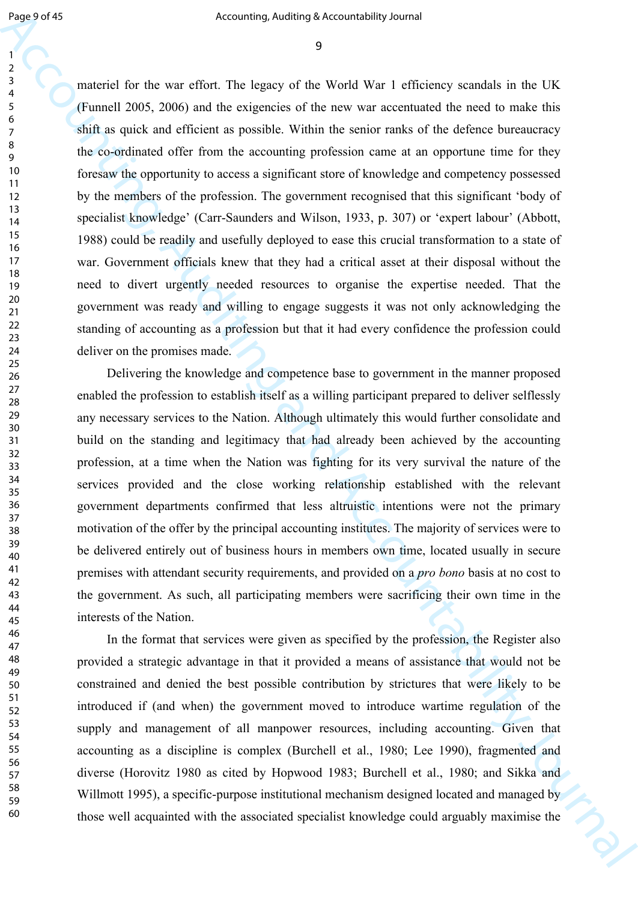Equips of the method of the same of the same of the same of the same of the same of the same of the same of the same of the same of the same of the same of the same of the same of the same of the same of the same of the materiel for the war effort. The legacy of the World War 1 efficiency scandals in the UK (Funnell 2005, 2006) and the exigencies of the new war accentuated the need to make this shift as quick and efficient as possible. Within the senior ranks of the defence bureaucracy the co-ordinated offer from the accounting profession came at an opportune time for they foresaw the opportunity to access a significant store of knowledge and competency possessed by the members of the profession. The government recognised that this significant 'body of specialist knowledge' (Carr-Saunders and Wilson, 1933, p. 307) or 'expert labour' (Abbott, 1988) could be readily and usefully deployed to ease this crucial transformation to a state of war. Government officials knew that they had a critical asset at their disposal without the need to divert urgently needed resources to organise the expertise needed. That the government was ready and willing to engage suggests it was not only acknowledging the standing of accounting as a profession but that it had every confidence the profession could deliver on the promises made.

Delivering the knowledge and competence base to government in the manner proposed enabled the profession to establish itself as a willing participant prepared to deliver selflessly any necessary services to the Nation. Although ultimately this would further consolidate and build on the standing and legitimacy that had already been achieved by the accounting profession, at a time when the Nation was fighting for its very survival the nature of the services provided and the close working relationship established with the relevant government departments confirmed that less altruistic intentions were not the primary motivation of the offer by the principal accounting institutes. The majority of services were to be delivered entirely out of business hours in members own time, located usually in secure premises with attendant security requirements, and provided on a *pro bono* basis at no cost to the government. As such, all participating members were sacrificing their own time in the interests of the Nation.

In the format that services were given as specified by the profession, the Register also provided a strategic advantage in that it provided a means of assistance that would not be constrained and denied the best possible contribution by strictures that were likely to be introduced if (and when) the government moved to introduce wartime regulation of the supply and management of all manpower resources, including accounting. Given that accounting as a discipline is complex (Burchell et al., 1980; Lee 1990), fragmented and diverse (Horovitz 1980 as cited by Hopwood 1983; Burchell et al., 1980; and Sikka and Willmott 1995), a specific-purpose institutional mechanism designed located and managed by those well acquainted with the associated specialist knowledge could arguably maximise the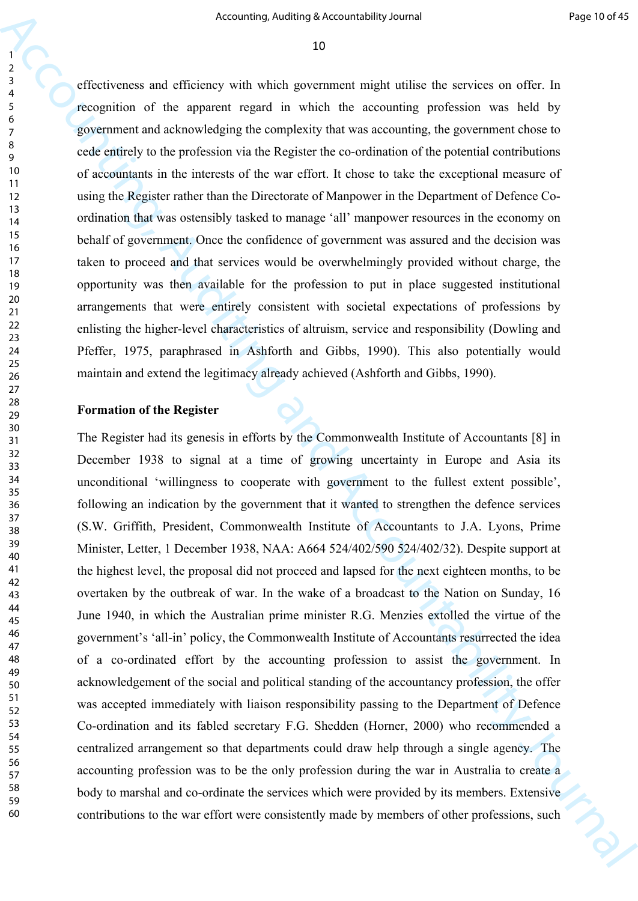effectiveness and efficiency with which government might utilise the services on offer. In recognition of the apparent regard in which the accounting profession was held by government and acknowledging the complexity that was accounting, the government chose to cede entirely to the profession via the Register the co-ordination of the potential contributions of accountants in the interests of the war effort. It chose to take the exceptional measure of using the Register rather than the Directorate of Manpower in the Department of Defence Coordination that was ostensibly tasked to manage 'all' manpower resources in the economy on behalf of government. Once the confidence of government was assured and the decision was taken to proceed and that services would be overwhelmingly provided without charge, the opportunity was then available for the profession to put in place suggested institutional arrangements that were entirely consistent with societal expectations of professions by enlisting the higher-level characteristics of altruism, service and responsibility (Dowling and Pfeffer, 1975, paraphrased in Ashforth and Gibbs, 1990). This also potentially would maintain and extend the legitimacy already achieved (Ashforth and Gibbs, 1990).

#### **Formation of the Register**

Accounting, Addining Society dollarige is the controlled phonol of the 1981 Constitution of the system of the system of the system of the system of the system of the system of the system of the system of the system of the The Register had its genesis in efforts by the Commonwealth Institute of Accountants [8] in December 1938 to signal at a time of growing uncertainty in Europe and Asia its unconditional 'willingness to cooperate with government to the fullest extent possible', following an indication by the government that it wanted to strengthen the defence services (S.W. Griffith, President, Commonwealth Institute of Accountants to J.A. Lyons, Prime Minister, Letter, 1 December 1938, NAA: A664 524/402/590 524/402/32). Despite support at the highest level, the proposal did not proceed and lapsed for the next eighteen months, to be overtaken by the outbreak of war. In the wake of a broadcast to the Nation on Sunday, 16 June 1940, in which the Australian prime minister R.G. Menzies extolled the virtue of the government's 'all-in' policy, the Commonwealth Institute of Accountants resurrected the idea of a co-ordinated effort by the accounting profession to assist the government. In acknowledgement of the social and political standing of the accountancy profession, the offer was accepted immediately with liaison responsibility passing to the Department of Defence Co-ordination and its fabled secretary F.G. Shedden (Horner, 2000) who recommended a centralized arrangement so that departments could draw help through a single agency. The accounting profession was to be the only profession during the war in Australia to create a body to marshal and co-ordinate the services which were provided by its members. Extensive contributions to the war effort were consistently made by members of other professions, such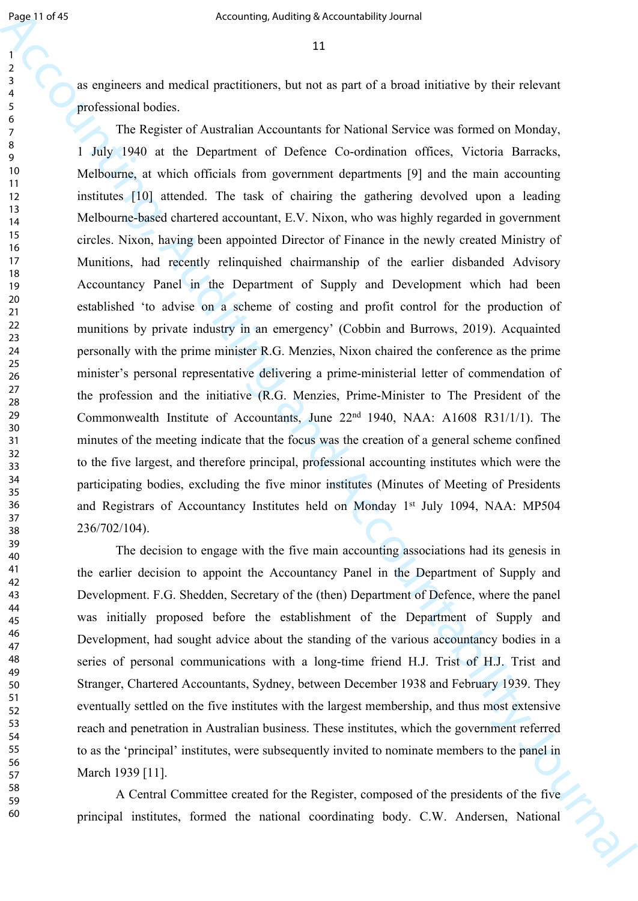as engineers and medical practitioners, but not as part of a broad initiative by their relevant professional bodies.

Equal of 50<br>
Accounting, Antimas Securited<br>big shown the specified by their effective proposarion of the state of the<br>specific and Accounting and Accounting and Accounting Security Securities<br>  $\frac{2}{\sqrt{3}}$  are effective The Register of Australian Accountants for National Service was formed on Monday, 1 July 1940 at the Department of Defence Co-ordination offices, Victoria Barracks, Melbourne, at which officials from government departments [9] and the main accounting institutes [10] attended. The task of chairing the gathering devolved upon a leading Melbourne-based chartered accountant, E.V. Nixon, who was highly regarded in government circles. Nixon, having been appointed Director of Finance in the newly created Ministry of Munitions, had recently relinquished chairmanship of the earlier disbanded Advisory Accountancy Panel in the Department of Supply and Development which had been established 'to advise on a scheme of costing and profit control for the production of munitions by private industry in an emergency' (Cobbin and Burrows, 2019). Acquainted personally with the prime minister R.G. Menzies, Nixon chaired the conference as the prime minister's personal representative delivering a prime-ministerial letter of commendation of the profession and the initiative (R.G. Menzies, Prime-Minister to The President of the Commonwealth Institute of Accountants, June 22nd 1940, NAA: A1608 R31/1/1). The minutes of the meeting indicate that the focus was the creation of a general scheme confined to the five largest, and therefore principal, professional accounting institutes which were the participating bodies, excluding the five minor institutes (Minutes of Meeting of Presidents and Registrars of Accountancy Institutes held on Monday 1st July 1094, NAA: MP504 236/702/104).

The decision to engage with the five main accounting associations had its genesis in the earlier decision to appoint the Accountancy Panel in the Department of Supply and Development. F.G. Shedden, Secretary of the (then) Department of Defence, where the panel was initially proposed before the establishment of the Department of Supply and Development, had sought advice about the standing of the various accountancy bodies in a series of personal communications with a long-time friend H.J. Trist of H.J. Trist and Stranger, Chartered Accountants, Sydney, between December 1938 and February 1939. They eventually settled on the five institutes with the largest membership, and thus most extensive reach and penetration in Australian business. These institutes, which the government referred to as the 'principal' institutes, were subsequently invited to nominate members to the panel in March 1939 [11].

A Central Committee created for the Register, composed of the presidents of the five principal institutes, formed the national coordinating body. C.W. Andersen, National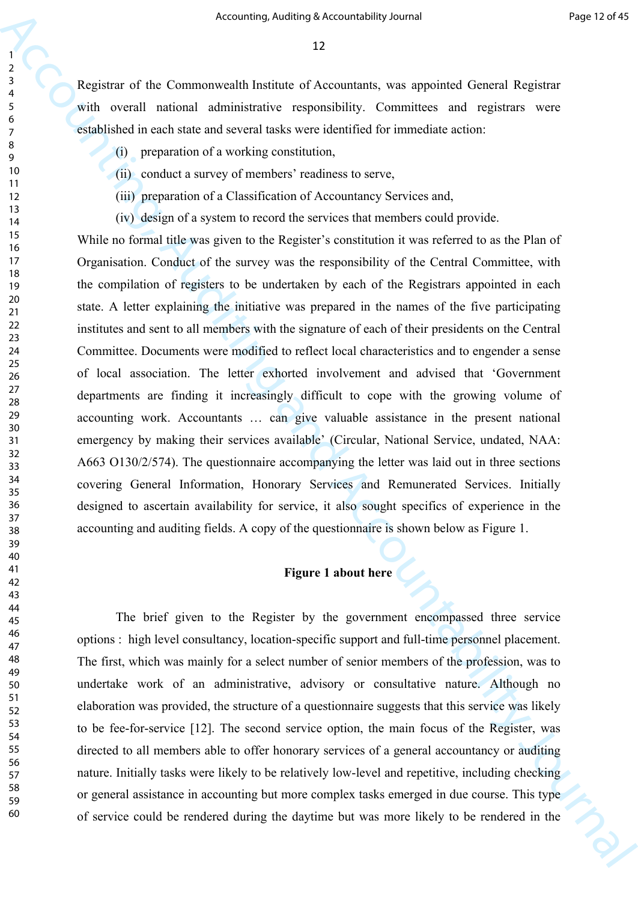Registrar of the Commonwealth Institute of Accountants, was appointed General Registrar with overall national administrative responsibility. Committees and registrars were established in each state and several tasks were identified for immediate action:

- (i) preparation of a working constitution,
- (ii) conduct a survey of members' readiness to serve,
- (iii) preparation of a Classification of Accountancy Services and,
- (iv) design of a system to record the services that members could provide.

Accounting, Addition Seizunstehlig bined<br>  $\frac{1}{2}$ <br>  $\frac{1}{2}$ <br>  $\frac{1}{2}$ <br>  $\frac{1}{2}$ <br>  $\frac{1}{2}$ <br>  $\frac{1}{2}$ <br>  $\frac{1}{2}$ <br>  $\frac{1}{2}$ <br>  $\frac{1}{2}$ <br>  $\frac{1}{2}$ <br>  $\frac{1}{2}$ <br>  $\frac{1}{2}$ <br>  $\frac{1}{2}$ <br>  $\frac{1}{2}$ <br>  $\frac{1}{2}$ <br>  $\frac{1}{2}$ <br>  $\frac$ While no formal title was given to the Register's constitution it was referred to as the Plan of Organisation. Conduct of the survey was the responsibility of the Central Committee, with the compilation of registers to be undertaken by each of the Registrars appointed in each state. A letter explaining the initiative was prepared in the names of the five participating institutes and sent to all members with the signature of each of their presidents on the Central Committee. Documents were modified to reflect local characteristics and to engender a sense of local association. The letter exhorted involvement and advised that 'Government departments are finding it increasingly difficult to cope with the growing volume of accounting work. Accountants … can give valuable assistance in the present national emergency by making their services available' (Circular, National Service, undated, NAA: A663 O130/2/574). The questionnaire accompanying the letter was laid out in three sections covering General Information, Honorary Services and Remunerated Services. Initially designed to ascertain availability for service, it also sought specifics of experience in the accounting and auditing fields. A copy of the questionnaire is shown below as Figure 1.

#### **Figure 1 about here**

The brief given to the Register by the government encompassed three service options : high level consultancy, location-specific support and full-time personnel placement. The first, which was mainly for a select number of senior members of the profession, was to undertake work of an administrative, advisory or consultative nature. Although no elaboration was provided, the structure of a questionnaire suggests that this service was likely to be fee-for-service [12]. The second service option, the main focus of the Register, was directed to all members able to offer honorary services of a general accountancy or auditing nature. Initially tasks were likely to be relatively low-level and repetitive, including checking or general assistance in accounting but more complex tasks emerged in due course. This type of service could be rendered during the daytime but was more likely to be rendered in the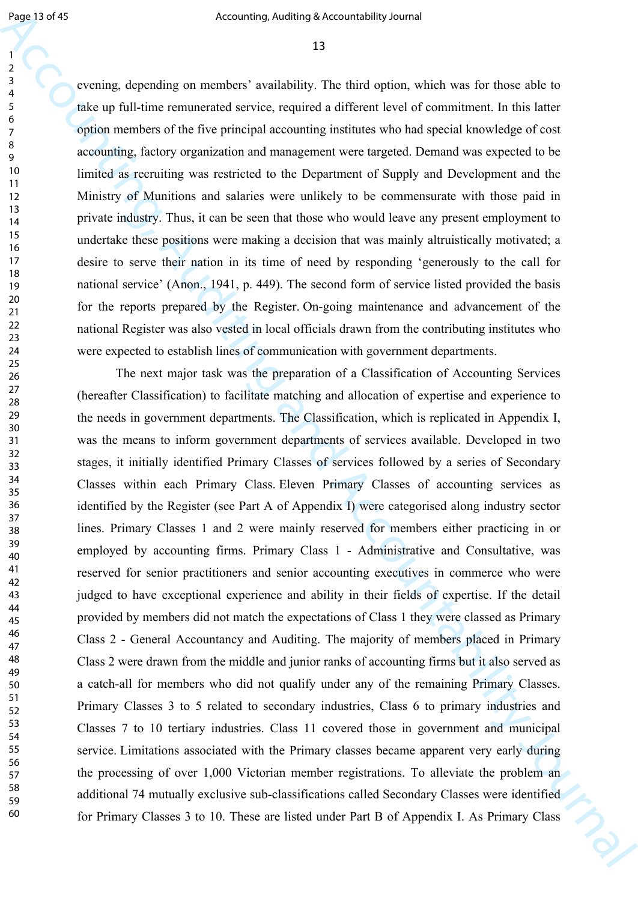evening, depending on members' availability. The third option, which was for those able to take up full-time remunerated service, required a different level of commitment. In this latter option members of the five principal accounting institutes who had special knowledge of cost accounting, factory organization and management were targeted. Demand was expected to be limited as recruiting was restricted to the Department of Supply and Development and the Ministry of Munitions and salaries were unlikely to be commensurate with those paid in private industry. Thus, it can be seen that those who would leave any present employment to undertake these positions were making a decision that was mainly altruistically motivated; a desire to serve their nation in its time of need by responding 'generously to the call for national service' (Anon., 1941, p. 449). The second form of service listed provided the basis for the reports prepared by the Register. On-going maintenance and advancement of the national Register was also vested in local officials drawn from the contributing institutes who were expected to establish lines of communication with government departments.

Figure 3 of the method is not anti-mixed by the state of the state of the method is not anti-mixed and the method is not anti-mixed and the method is not all the method is not all the method is not all the method is not The next major task was the preparation of a Classification of Accounting Services (hereafter Classification) to facilitate matching and allocation of expertise and experience to the needs in government departments. The Classification, which is replicated in Appendix I, was the means to inform government departments of services available. Developed in two stages, it initially identified Primary Classes of services followed by a series of Secondary Classes within each Primary Class. Eleven Primary Classes of accounting services as identified by the Register (see Part A of Appendix I) were categorised along industry sector lines. Primary Classes 1 and 2 were mainly reserved for members either practicing in or employed by accounting firms. Primary Class 1 - Administrative and Consultative, was reserved for senior practitioners and senior accounting executives in commerce who were judged to have exceptional experience and ability in their fields of expertise. If the detail provided by members did not match the expectations of Class 1 they were classed as Primary Class 2 - General Accountancy and Auditing. The majority of members placed in Primary Class 2 were drawn from the middle and junior ranks of accounting firms but it also served as a catch-all for members who did not qualify under any of the remaining Primary Classes. Primary Classes 3 to 5 related to secondary industries, Class 6 to primary industries and Classes 7 to 10 tertiary industries. Class 11 covered those in government and municipal service. Limitations associated with the Primary classes became apparent very early during the processing of over 1,000 Victorian member registrations. To alleviate the problem an additional 74 mutually exclusive sub-classifications called Secondary Classes were identified for Primary Classes 3 to 10. These are listed under Part B of Appendix I. As Primary Class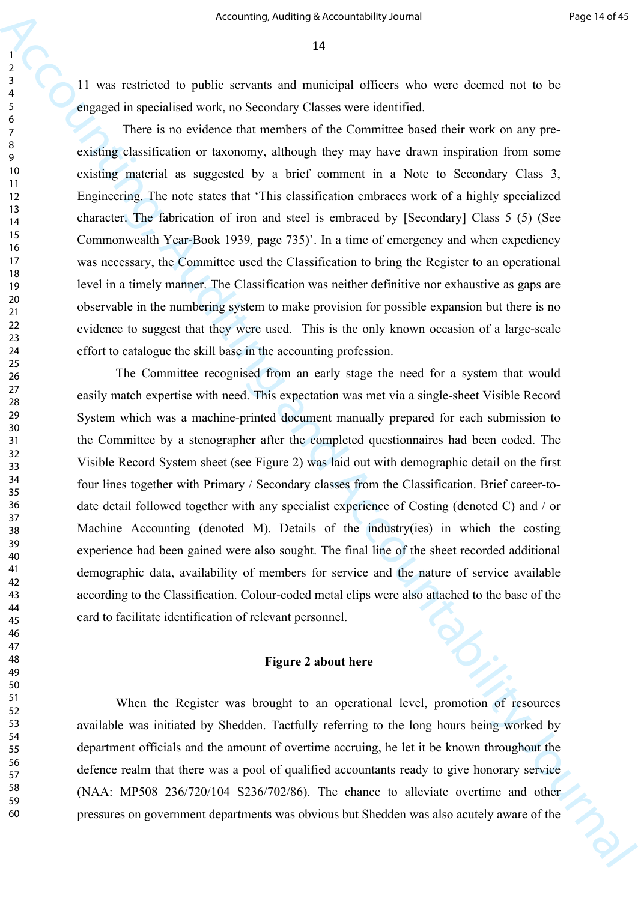11 was restricted to public servants and municipal officers who were deemed not to be engaged in specialised work, no Secondary Classes were identified.

There is no evidence that members of the Committee based their work on any preexisting classification or taxonomy, although they may have drawn inspiration from some existing material as suggested by a brief comment in a Note to Secondary Class 3, Engineering. The note states that 'This classification embraces work of a highly specialized character. The fabrication of iron and steel is embraced by [Secondary] Class 5 (5) (See Commonwealth Year-Book 1939*,* page 735)'. In a time of emergency and when expediency was necessary, the Committee used the Classification to bring the Register to an operational level in a timely manner. The Classification was neither definitive nor exhaustive as gaps are observable in the numbering system to make provision for possible expansion but there is no evidence to suggest that they were used. This is the only known occasion of a large-scale effort to catalogue the skill base in the accounting profession.

Accounting, Additing Seizuner<br>
Accounting Account and the properties of the state of the state of the state of the state of the state of the state of the state of the state of the state of the state of the state of the st The Committee recognised from an early stage the need for a system that would easily match expertise with need. This expectation was met via a single-sheet Visible Record System which was a machine-printed document manually prepared for each submission to the Committee by a stenographer after the completed questionnaires had been coded. The Visible Record System sheet (see Figure 2) was laid out with demographic detail on the first four lines together with Primary / Secondary classes from the Classification. Brief career-todate detail followed together with any specialist experience of Costing (denoted C) and / or Machine Accounting (denoted M). Details of the industry(ies) in which the costing experience had been gained were also sought. The final line of the sheet recorded additional demographic data, availability of members for service and the nature of service available according to the Classification. Colour-coded metal clips were also attached to the base of the card to facilitate identification of relevant personnel.

#### **Figure 2 about here**

When the Register was brought to an operational level, promotion of resources available was initiated by Shedden. Tactfully referring to the long hours being worked by department officials and the amount of overtime accruing, he let it be known throughout the defence realm that there was a pool of qualified accountants ready to give honorary service (NAA: MP508 236/720/104 S236/702/86). The chance to alleviate overtime and other pressures on government departments was obvious but Shedden was also acutely aware of the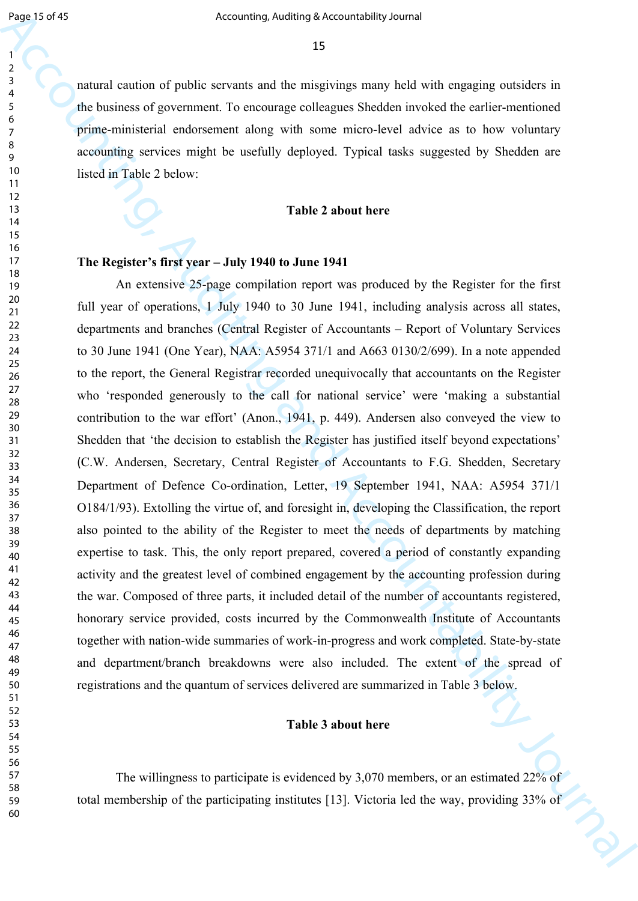natural caution of public servants and the misgivings many held with engaging outsiders in the business of government. To encourage colleagues Shedden invoked the earlier-mentioned prime-ministerial endorsement along with some micro-level advice as to how voluntary accounting services might be usefully deployed. Typical tasks suggested by Shedden are listed in Table 2 below:

#### **Table 2 about here**

#### **The Register's first year – July 1940 to June 1941**

Equiverial to the Markov of the Markov of the Sixteen College and the Contribution of the Contribution of the Contribution of the Contribution of the Contribution of the Contribution of the Contribution of the Contributi An extensive 25-page compilation report was produced by the Register for the first full year of operations, 1 July 1940 to 30 June 1941, including analysis across all states, departments and branches (Central Register of Accountants – Report of Voluntary Services to 30 June 1941 (One Year), NAA: A5954 371/1 and A663 0130/2/699). In a note appended to the report, the General Registrar recorded unequivocally that accountants on the Register who 'responded generously to the call for national service' were 'making a substantial contribution to the war effort' (Anon., 1941, p. 449). Andersen also conveyed the view to Shedden that 'the decision to establish the Register has justified itself beyond expectations' (C.W. Andersen, Secretary, Central Register of Accountants to F.G. Shedden, Secretary Department of Defence Co-ordination, Letter, 19 September 1941, NAA: A5954 371/1 O184/1/93). Extolling the virtue of, and foresight in, developing the Classification, the report also pointed to the ability of the Register to meet the needs of departments by matching expertise to task. This, the only report prepared, covered a period of constantly expanding activity and the greatest level of combined engagement by the accounting profession during the war. Composed of three parts, it included detail of the number of accountants registered, honorary service provided, costs incurred by the Commonwealth Institute of Accountants together with nation-wide summaries of work-in-progress and work completed. State-by-state and department/branch breakdowns were also included. The extent of the spread of registrations and the quantum of services delivered are summarized in Table 3 below.

#### **Table 3 about here**

The willingness to participate is evidenced by 3,070 members, or an estimated 22% of total membership of the participating institutes [13]. Victoria led the way, providing 33% of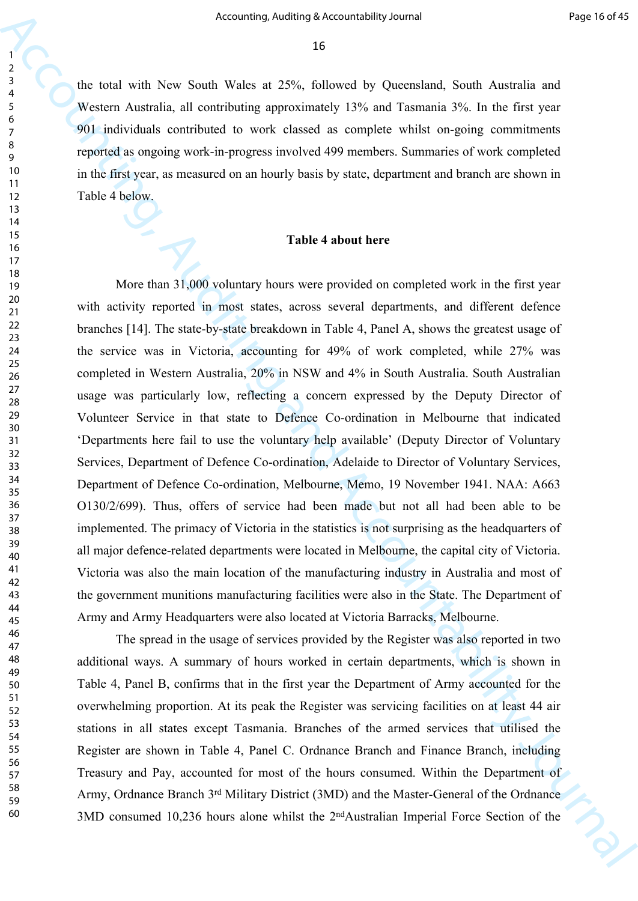the total with New South Wales at 25%, followed by Queensland, South Australia and Western Australia, all contributing approximately 13% and Tasmania 3%. In the first year 901 individuals contributed to work classed as complete whilst on-going commitments reported as ongoing work-in-progress involved 499 members. Summaries of work completed in the first year, as measured on an hourly basis by state, department and branch are shown in Table 4 below.

#### **Table 4 about here**

Accounting, Addings because<br>their general controlling and Exercise the Controlling and Accounting and<br>Segment According approximately 15% and Tananah 2%. In the first year<br>of Segment According and Controlling approximatel More than 31,000 voluntary hours were provided on completed work in the first year with activity reported in most states, across several departments, and different defence branches [14]. The state-by-state breakdown in Table 4, Panel A, shows the greatest usage of the service was in Victoria, accounting for 49% of work completed, while 27% was completed in Western Australia, 20% in NSW and 4% in South Australia. South Australian usage was particularly low, reflecting a concern expressed by the Deputy Director of Volunteer Service in that state to Defence Co-ordination in Melbourne that indicated 'Departments here fail to use the voluntary help available' (Deputy Director of Voluntary Services, Department of Defence Co-ordination, Adelaide to Director of Voluntary Services, Department of Defence Co-ordination, Melbourne, Memo, 19 November 1941. NAA: A663 O130/2/699). Thus, offers of service had been made but not all had been able to be implemented. The primacy of Victoria in the statistics is not surprising as the headquarters of all major defence-related departments were located in Melbourne, the capital city of Victoria. Victoria was also the main location of the manufacturing industry in Australia and most of the government munitions manufacturing facilities were also in the State. The Department of Army and Army Headquarters were also located at Victoria Barracks, Melbourne.

The spread in the usage of services provided by the Register was also reported in two additional ways. A summary of hours worked in certain departments, which is shown in Table 4, Panel B, confirms that in the first year the Department of Army accounted for the overwhelming proportion. At its peak the Register was servicing facilities on at least 44 air stations in all states except Tasmania. Branches of the armed services that utilised the Register are shown in Table 4, Panel C. Ordnance Branch and Finance Branch, including Treasury and Pay, accounted for most of the hours consumed. Within the Department of Army, Ordnance Branch 3rd Military District (3MD) and the Master-General of the Ordnance 3MD consumed 10,236 hours alone whilst the 2<sup>nd</sup>Australian Imperial Force Section of the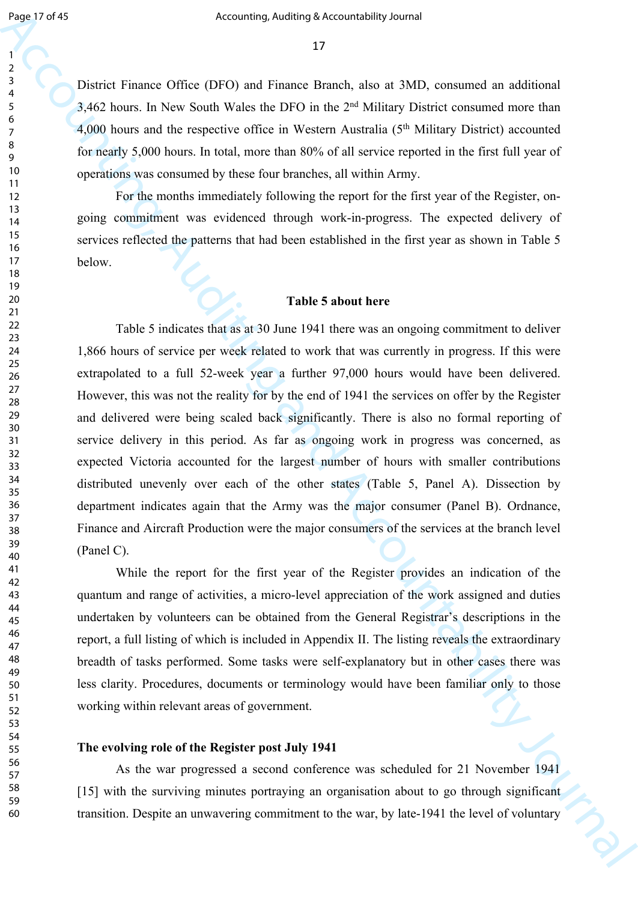District Finance Office (DFO) and Finance Branch, also at 3MD, consumed an additional 3,462 hours. In New South Wales the DFO in the 2nd Military District consumed more than 4,000 hours and the respective office in Western Australia (5th Military District) accounted for nearly 5,000 hours. In total, more than 80% of all service reported in the first full year of operations was consumed by these four branches, all within Army.

For the months immediately following the report for the first year of the Register, ongoing commitment was evidenced through work-in-progress. The expected delivery of services reflected the patterns that had been established in the first year as shown in Table 5 below.

#### **Table 5 about here**

Equal of 45<br>
Accounting, Action and Finance Branch, also as TMD, consumed in additional<br>  $\frac{2}{3}$ <br>
Therefore Franch (FIFO) and Finance Branch, also as ND, consumed in additional<br>
A 3-62 hours. In New South Watse to DFO Table 5 indicates that as at 30 June 1941 there was an ongoing commitment to deliver 1,866 hours of service per week related to work that was currently in progress. If this were extrapolated to a full 52-week year a further 97,000 hours would have been delivered. However, this was not the reality for by the end of 1941 the services on offer by the Register and delivered were being scaled back significantly. There is also no formal reporting of service delivery in this period. As far as ongoing work in progress was concerned, as expected Victoria accounted for the largest number of hours with smaller contributions distributed unevenly over each of the other states (Table 5, Panel A). Dissection by department indicates again that the Army was the major consumer (Panel B). Ordnance, Finance and Aircraft Production were the major consumers of the services at the branch level (Panel C).

While the report for the first year of the Register provides an indication of the quantum and range of activities, a micro-level appreciation of the work assigned and duties undertaken by volunteers can be obtained from the General Registrar's descriptions in the report, a full listing of which is included in Appendix II. The listing reveals the extraordinary breadth of tasks performed. Some tasks were self-explanatory but in other cases there was less clarity. Procedures, documents or terminology would have been familiar only to those working within relevant areas of government.

#### **The evolving role of the Register post July 1941**

As the war progressed a second conference was scheduled for 21 November 1941 [15] with the surviving minutes portraying an organisation about to go through significant transition. Despite an unwavering commitment to the war, by late-1941 the level of voluntary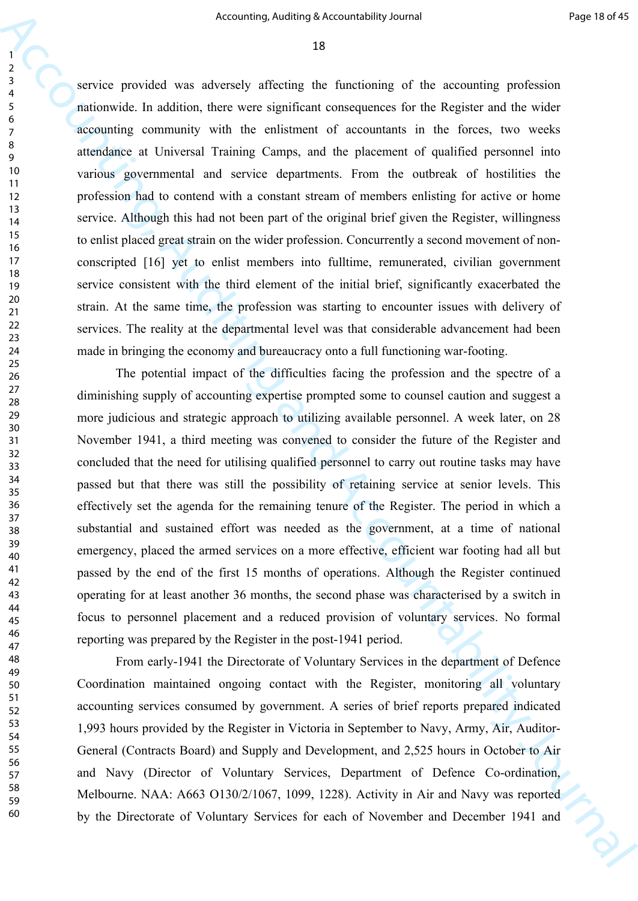Accounting, Addition a Secured<br>Addition and Figure 10.49 Securities of the accounting profession<br>and the system of the system of the system of the system of the system of the system of the system of the system control of service provided was adversely affecting the functioning of the accounting profession nationwide. In addition, there were significant consequences for the Register and the wider accounting community with the enlistment of accountants in the forces, two weeks attendance at Universal Training Camps, and the placement of qualified personnel into various governmental and service departments. From the outbreak of hostilities the profession had to contend with a constant stream of members enlisting for active or home service. Although this had not been part of the original brief given the Register, willingness to enlist placed great strain on the wider profession. Concurrently a second movement of nonconscripted [16] yet to enlist members into fulltime, remunerated, civilian government service consistent with the third element of the initial brief, significantly exacerbated the strain. At the same time, the profession was starting to encounter issues with delivery of services. The reality at the departmental level was that considerable advancement had been made in bringing the economy and bureaucracy onto a full functioning war-footing.

The potential impact of the difficulties facing the profession and the spectre of a diminishing supply of accounting expertise prompted some to counsel caution and suggest a more judicious and strategic approach to utilizing available personnel. A week later, on 28 November 1941, a third meeting was convened to consider the future of the Register and concluded that the need for utilising qualified personnel to carry out routine tasks may have passed but that there was still the possibility of retaining service at senior levels. This effectively set the agenda for the remaining tenure of the Register. The period in which a substantial and sustained effort was needed as the government, at a time of national emergency, placed the armed services on a more effective, efficient war footing had all but passed by the end of the first 15 months of operations. Although the Register continued operating for at least another 36 months, the second phase was characterised by a switch in focus to personnel placement and a reduced provision of voluntary services. No formal reporting was prepared by the Register in the post-1941 period.

From early-1941 the Directorate of Voluntary Services in the department of Defence Coordination maintained ongoing contact with the Register, monitoring all voluntary accounting services consumed by government. A series of brief reports prepared indicated 1,993 hours provided by the Register in Victoria in September to Navy, Army, Air, Auditor-General (Contracts Board) and Supply and Development, and 2,525 hours in October to Air and Navy (Director of Voluntary Services, Department of Defence Co-ordination, Melbourne. NAA: A663 O130/2/1067, 1099, 1228). Activity in Air and Navy was reported by the Directorate of Voluntary Services for each of November and December 1941 and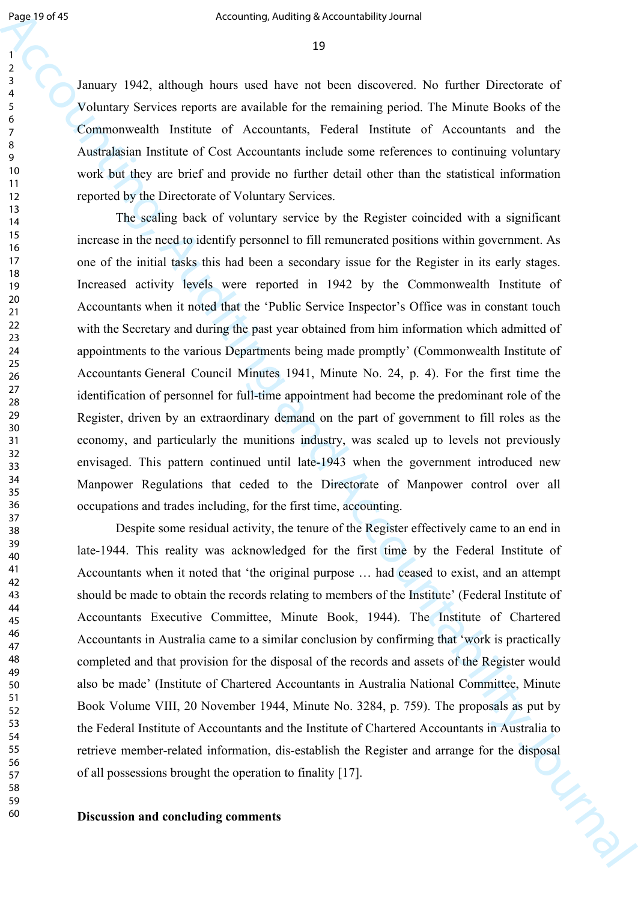January 1942, although hours used have not been discovered. No further Directorate of Voluntary Services reports are available for the remaining period. The Minute Books of the Commonwealth Institute of Accountants, Federal Institute of Accountants and the Australasian Institute of Cost Accountants include some references to continuing voluntary work but they are brief and provide no further detail other than the statistical information reported by the Directorate of Voluntary Services.

Equivery 1978) Accounting, Andining Secure deligy Bureal Constraints of the Constraints Section Accounting and the Constraints of Section Section Accounting and Accounting and Accounting and Accounting and Accounting and The scaling back of voluntary service by the Register coincided with a significant increase in the need to identify personnel to fill remunerated positions within government. As one of the initial tasks this had been a secondary issue for the Register in its early stages. Increased activity levels were reported in 1942 by the Commonwealth Institute of Accountants when it noted that the 'Public Service Inspector's Office was in constant touch with the Secretary and during the past year obtained from him information which admitted of appointments to the various Departments being made promptly' (Commonwealth Institute of Accountants General Council Minutes 1941, Minute No. 24, p. 4). For the first time the identification of personnel for full-time appointment had become the predominant role of the Register, driven by an extraordinary demand on the part of government to fill roles as the economy, and particularly the munitions industry, was scaled up to levels not previously envisaged. This pattern continued until late-1943 when the government introduced new Manpower Regulations that ceded to the Directorate of Manpower control over all occupations and trades including, for the first time, accounting.

Despite some residual activity, the tenure of the Register effectively came to an end in late-1944. This reality was acknowledged for the first time by the Federal Institute of Accountants when it noted that 'the original purpose … had ceased to exist, and an attempt should be made to obtain the records relating to members of the Institute' (Federal Institute of Accountants Executive Committee, Minute Book, 1944). The Institute of Chartered Accountants in Australia came to a similar conclusion by confirming that 'work is practically completed and that provision for the disposal of the records and assets of the Register would also be made' (Institute of Chartered Accountants in Australia National Committee, Minute Book Volume VIII, 20 November 1944, Minute No. 3284, p. 759). The proposals as put by the Federal Institute of Accountants and the Institute of Chartered Accountants in Australia to retrieve member-related information, dis-establish the Register and arrange for the disposal of all possessions brought the operation to finality [17].

**Discussion and concluding comments**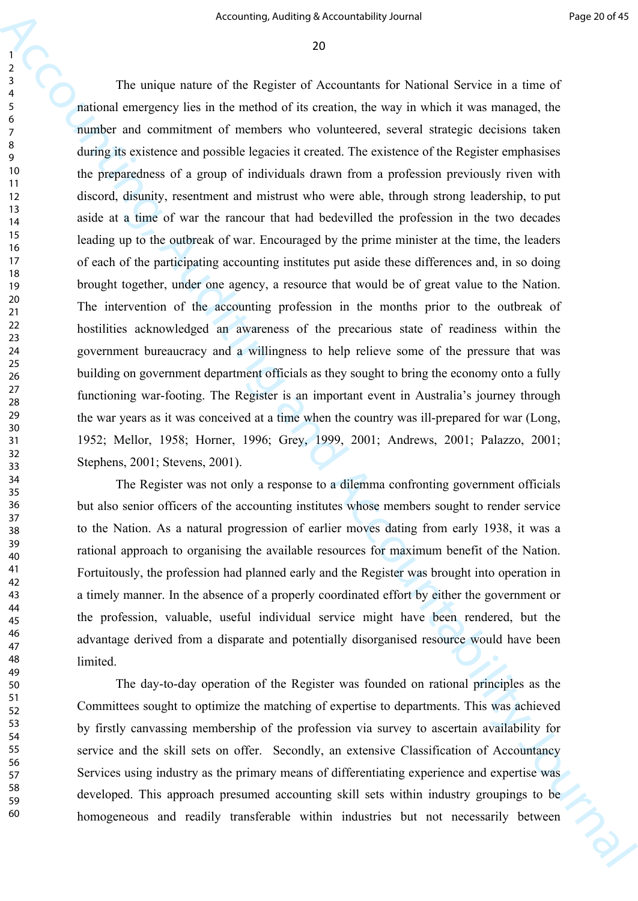Accounting Addining Securitofship binned<br>  $\frac{1}{2}$ <br>
The unique numer of the Replex of Accounting the Nichard Service is a rise of<br>
anticolar contentions with a material of the contents of the Replex contents of<br>  $\frac{1}{2}$ The unique nature of the Register of Accountants for National Service in a time of national emergency lies in the method of its creation, the way in which it was managed, the number and commitment of members who volunteered, several strategic decisions taken during its existence and possible legacies it created. The existence of the Register emphasises the preparedness of a group of individuals drawn from a profession previously riven with discord, disunity, resentment and mistrust who were able, through strong leadership, to put aside at a time of war the rancour that had bedevilled the profession in the two decades leading up to the outbreak of war. Encouraged by the prime minister at the time, the leaders of each of the participating accounting institutes put aside these differences and, in so doing brought together, under one agency, a resource that would be of great value to the Nation. The intervention of the accounting profession in the months prior to the outbreak of hostilities acknowledged an awareness of the precarious state of readiness within the government bureaucracy and a willingness to help relieve some of the pressure that was building on government department officials as they sought to bring the economy onto a fully functioning war-footing. The Register is an important event in Australia's journey through the war years as it was conceived at a time when the country was ill-prepared for war (Long, 1952; Mellor, 1958; Horner, 1996; Grey, 1999, 2001; Andrews, 2001; Palazzo, 2001; Stephens, 2001; Stevens, 2001).

The Register was not only a response to a dilemma confronting government officials but also senior officers of the accounting institutes whose members sought to render service to the Nation. As a natural progression of earlier moves dating from early 1938, it was a rational approach to organising the available resources for maximum benefit of the Nation. Fortuitously, the profession had planned early and the Register was brought into operation in a timely manner. In the absence of a properly coordinated effort by either the government or the profession, valuable, useful individual service might have been rendered, but the advantage derived from a disparate and potentially disorganised resource would have been limited.

The day-to-day operation of the Register was founded on rational principles as the Committees sought to optimize the matching of expertise to departments. This was achieved by firstly canvassing membership of the profession via survey to ascertain availability for service and the skill sets on offer. Secondly, an extensive Classification of Accountancy Services using industry as the primary means of differentiating experience and expertise was developed. This approach presumed accounting skill sets within industry groupings to be homogeneous and readily transferable within industries but not necessarily between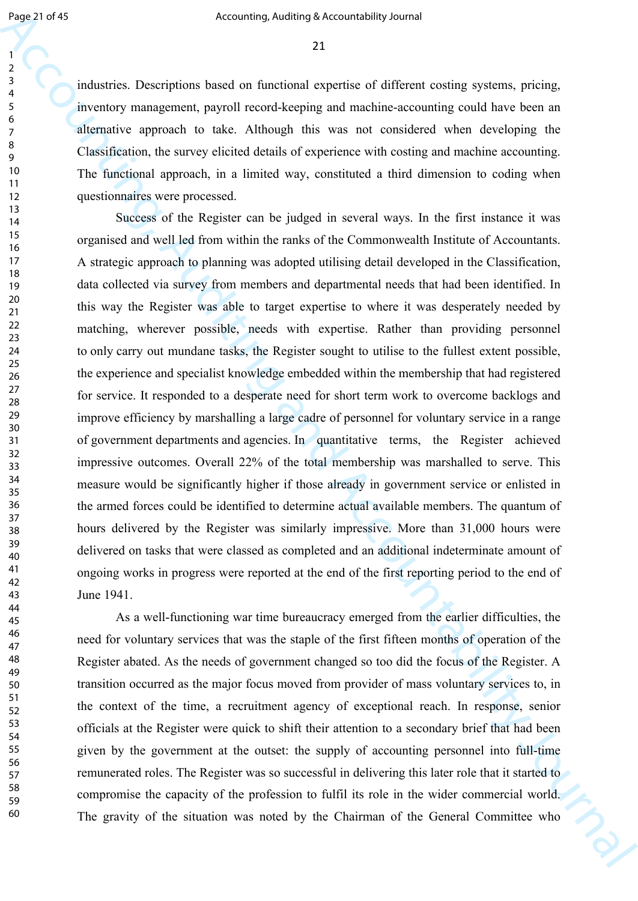industries. Descriptions based on functional expertise of different costing systems, pricing, inventory management, payroll record-keeping and machine-accounting could have been an alternative approach to take. Although this was not considered when developing the Classification, the survey elicited details of experience with costing and machine accounting. The functional approach, in a limited way, constituted a third dimension to coding when questionnaires were processed.

Equal of 50<br>
Monoming, Andiany 8-Accountability Journal<br>
2<br>
Accounting Account and the method and provide of different coviding goalters, principy<br>
accounts consider the same and are for the method and accountable with a Success of the Register can be judged in several ways. In the first instance it was organised and well led from within the ranks of the Commonwealth Institute of Accountants. A strategic approach to planning was adopted utilising detail developed in the Classification, data collected via survey from members and departmental needs that had been identified. In this way the Register was able to target expertise to where it was desperately needed by matching, wherever possible, needs with expertise. Rather than providing personnel to only carry out mundane tasks, the Register sought to utilise to the fullest extent possible, the experience and specialist knowledge embedded within the membership that had registered for service. It responded to a desperate need for short term work to overcome backlogs and improve efficiency by marshalling a large cadre of personnel for voluntary service in a range of government departments and agencies. In quantitative terms, the Register achieved impressive outcomes. Overall 22% of the total membership was marshalled to serve. This measure would be significantly higher if those already in government service or enlisted in the armed forces could be identified to determine actual available members. The quantum of hours delivered by the Register was similarly impressive. More than 31,000 hours were delivered on tasks that were classed as completed and an additional indeterminate amount of ongoing works in progress were reported at the end of the first reporting period to the end of June 1941.

As a well-functioning war time bureaucracy emerged from the earlier difficulties, the need for voluntary services that was the staple of the first fifteen months of operation of the Register abated. As the needs of government changed so too did the focus of the Register. A transition occurred as the major focus moved from provider of mass voluntary services to, in the context of the time, a recruitment agency of exceptional reach. In response, senior officials at the Register were quick to shift their attention to a secondary brief that had been given by the government at the outset: the supply of accounting personnel into full-time remunerated roles. The Register was so successful in delivering this later role that it started to compromise the capacity of the profession to fulfil its role in the wider commercial world. The gravity of the situation was noted by the Chairman of the General Committee who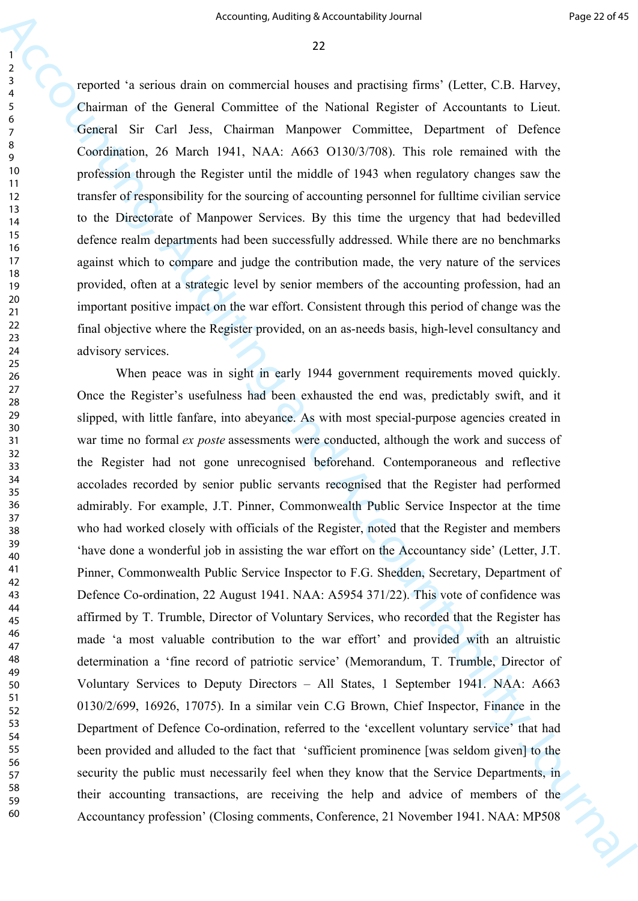reported 'a serious drain on commercial houses and practising firms' (Letter, C.B. Harvey, Chairman of the General Committee of the National Register of Accountants to Lieut. General Sir Carl Jess, Chairman Manpower Committee, Department of Defence Coordination, 26 March 1941, NAA: A663 O130/3/708). This role remained with the profession through the Register until the middle of 1943 when regulatory changes saw the transfer of responsibility for the sourcing of accounting personnel for fulltime civilian service to the Directorate of Manpower Services. By this time the urgency that had bedevilled defence realm departments had been successfully addressed. While there are no benchmarks against which to compare and judge the contribution made, the very nature of the services provided, often at a strategic level by senior members of the accounting profession, had an important positive impact on the war effort. Consistent through this period of change was the final objective where the Register provided, on an as-needs basis, high-level consultancy and advisory services.

Accounting, Addinisy Securitof<br>bigs 2 can be represented to the controller of the CFR Representation of the CFR Representation of the CFR Representation of the CFR Representation of the CFR Representation of the CFR Repre When peace was in sight in early 1944 government requirements moved quickly. Once the Register's usefulness had been exhausted the end was, predictably swift, and it slipped, with little fanfare, into abeyance. As with most special-purpose agencies created in war time no formal *ex poste* assessments were conducted, although the work and success of the Register had not gone unrecognised beforehand. Contemporaneous and reflective accolades recorded by senior public servants recognised that the Register had performed admirably. For example, J.T. Pinner, Commonwealth Public Service Inspector at the time who had worked closely with officials of the Register, noted that the Register and members 'have done a wonderful job in assisting the war effort on the Accountancy side' (Letter, J.T. Pinner, Commonwealth Public Service Inspector to F.G. Shedden, Secretary, Department of Defence Co-ordination, 22 August 1941. NAA: A5954 371/22). This vote of confidence was affirmed by T. Trumble, Director of Voluntary Services, who recorded that the Register has made 'a most valuable contribution to the war effort' and provided with an altruistic determination a 'fine record of patriotic service' (Memorandum, T. Trumble, Director of Voluntary Services to Deputy Directors – All States, 1 September 1941. NAA: A663 0130/2/699, 16926, 17075). In a similar vein C.G Brown, Chief Inspector, Finance in the Department of Defence Co-ordination, referred to the 'excellent voluntary service' that had been provided and alluded to the fact that 'sufficient prominence [was seldom given] to the security the public must necessarily feel when they know that the Service Departments, in their accounting transactions, are receiving the help and advice of members of the Accountancy profession' (Closing comments, Conference, 21 November 1941. NAA: MP508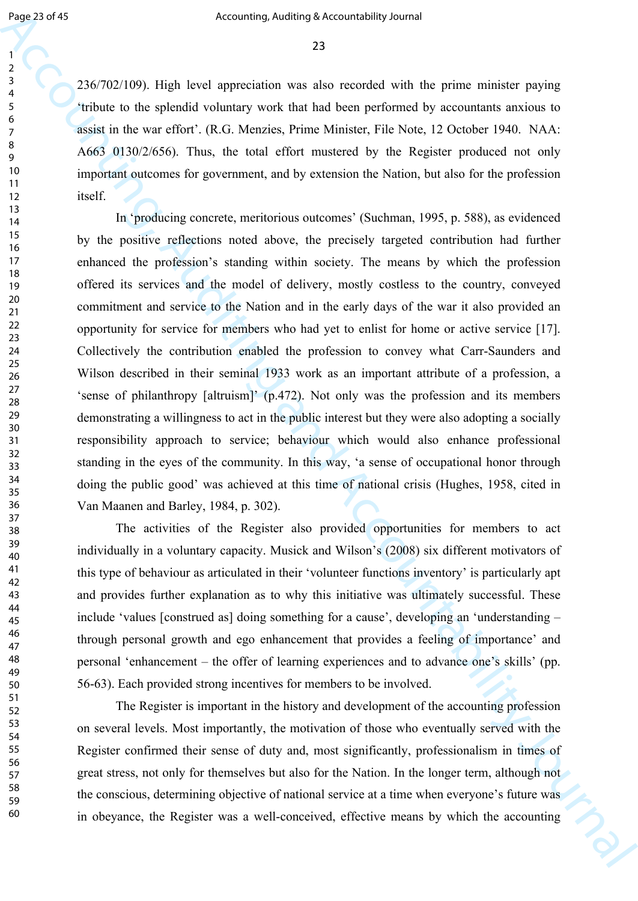236/702/109). High level appreciation was also recorded with the prime minister paying 'tribute to the splendid voluntary work that had been performed by accountants anxious to assist in the war effort'. (R.G. Menzies, Prime Minister, File Note, 12 October 1940. NAA: A663 0130/2/656). Thus, the total effort mustered by the Register produced not only important outcomes for government, and by extension the Nation, but also for the profession itself.

Equation 5 Accounting, Andining Society Andre Holey burstle in the prime minister paying  $\frac{2}{3}$ <br>  $\frac{2}{3}$  256/702/109) High hard appreciation would that based particular the prime minister paying thicks to the glacie In 'producing concrete, meritorious outcomes' (Suchman, 1995, p. 588), as evidenced by the positive reflections noted above, the precisely targeted contribution had further enhanced the profession's standing within society. The means by which the profession offered its services and the model of delivery, mostly costless to the country, conveyed commitment and service to the Nation and in the early days of the war it also provided an opportunity for service for members who had yet to enlist for home or active service [17]. Collectively the contribution enabled the profession to convey what Carr-Saunders and Wilson described in their seminal 1933 work as an important attribute of a profession, a 'sense of philanthropy [altruism]' (p.472). Not only was the profession and its members demonstrating a willingness to act in the public interest but they were also adopting a socially responsibility approach to service; behaviour which would also enhance professional standing in the eyes of the community. In this way, 'a sense of occupational honor through doing the public good' was achieved at this time of national crisis (Hughes, 1958, cited in Van Maanen and Barley, 1984, p. 302).

The activities of the Register also provided opportunities for members to act individually in a voluntary capacity. Musick and Wilson's (2008) six different motivators of this type of behaviour as articulated in their 'volunteer functions inventory' is particularly apt and provides further explanation as to why this initiative was ultimately successful. These include 'values [construed as] doing something for a cause', developing an 'understanding – through personal growth and ego enhancement that provides a feeling of importance' and personal 'enhancement – the offer of learning experiences and to advance one's skills' (pp. 56-63). Each provided strong incentives for members to be involved.

The Register is important in the history and development of the accounting profession on several levels. Most importantly, the motivation of those who eventually served with the Register confirmed their sense of duty and, most significantly, professionalism in times of great stress, not only for themselves but also for the Nation. In the longer term, although not the conscious, determining objective of national service at a time when everyone's future was in obeyance, the Register was a well-conceived, effective means by which the accounting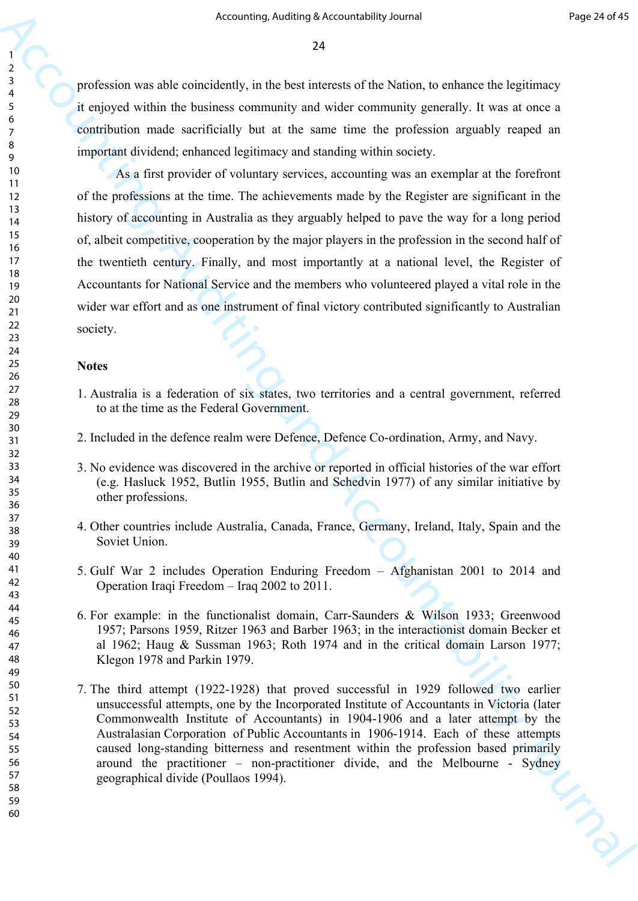profession was able coincidently, in the best interests of the Nation, to enhance the legitimacy it enjoyed within the business community and wider community generally. It was at once a contribution made sacrificially but at the same time the profession arguably reaped an important dividend; enhanced legitimacy and standing within society.

Accounting, Addinis a Accounting Addinis and Accountability Journal For Prior Controllers<br>
2. Controller and the basic controllers of the basic method of controllers and the projections<br>
2. Controller and Accountability J As a first provider of voluntary services, accounting was an exemplar at the forefront of the professions at the time. The achievements made by the Register are significant in the history of accounting in Australia as they arguably helped to pave the way for a long period of, albeit competitive, cooperation by the major players in the profession in the second half of the twentieth century. Finally, and most importantly at a national level, the Register of Accountants for National Service and the members who volunteered played a vital role in the wider war effort and as one instrument of final victory contributed significantly to Australian society.

#### **Notes**

- 1. Australia is a federation of six states, two territories and a central government, referred to at the time as the Federal Government.
- 2. Included in the defence realm were Defence, Defence Co-ordination, Army, and Navy.
- 3. No evidence was discovered in the archive or reported in official histories of the war effort (e.g. Hasluck 1952, Butlin 1955, Butlin and Schedvin 1977) of any similar initiative by other professions.
- 4. Other countries include Australia, Canada, France, Germany, Ireland, Italy, Spain and the Soviet Union.
- 5. Gulf War 2 includes Operation Enduring Freedom Afghanistan 2001 to 2014 and Operation Iraqi Freedom – Iraq 2002 to 2011.
- 6. For example: in the functionalist domain, Carr-Saunders & Wilson 1933; Greenwood 1957; Parsons 1959, Ritzer 1963 and Barber 1963; in the interactionist domain Becker et al 1962; Haug & Sussman 1963; Roth 1974 and in the critical domain Larson 1977; Klegon 1978 and Parkin 1979.
- 7. The third attempt (1922-1928) that proved successful in 1929 followed two earlier unsuccessful attempts, one by the Incorporated Institute of Accountants in Victoria (later Commonwealth Institute of Accountants) in 1904-1906 and a later attempt by the Australasian Corporation of Public Accountants in 1906-1914. Each of these attempts caused long-standing bitterness and resentment within the profession based primarily around the practitioner – non-practitioner divide, and the Melbourne - Sydney geographical divide (Poullaos 1994).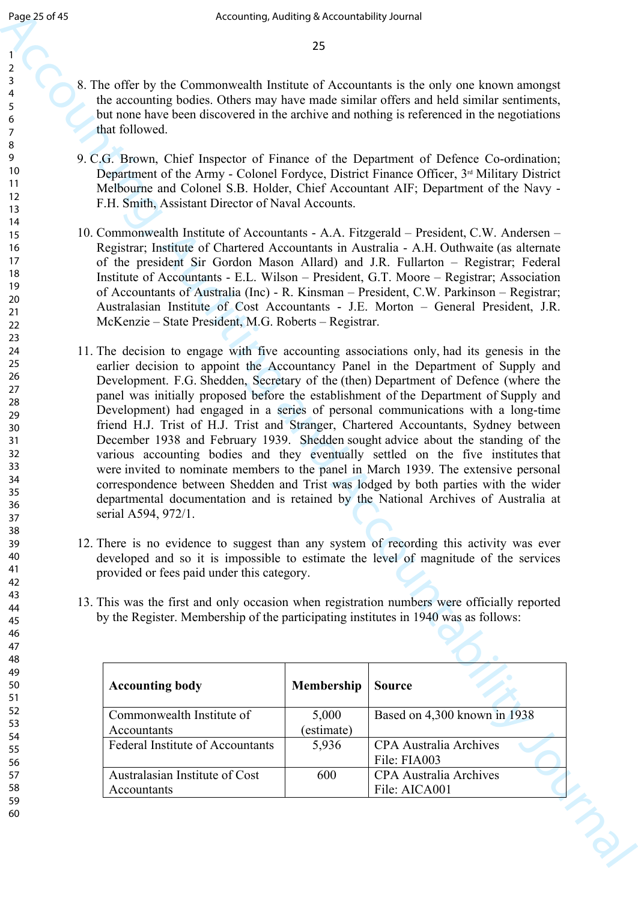- 8. The offer by the Commonwealth Institute of Accountants is the only one known amongst the accounting bodies. Others may have made similar offers and held similar sentiments, but none have been discovered in the archive and nothing is referenced in the negotiations that followed.
- 9. C.G. Brown, Chief Inspector of Finance of the Department of Defence Co-ordination; Department of the Army - Colonel Fordyce, District Finance Officer, 3<sup>rd</sup> Military District Melbourne and Colonel S.B. Holder, Chief Accountant AIF; Department of the Navy - F.H. Smith, Assistant Director of Naval Accounts.
- 10. Commonwealth Institute of Accountants A.A. Fitzgerald President, C.W. Andersen Registrar; Institute of Chartered Accountants in Australia - A.H. Outhwaite (as alternate of the president Sir Gordon Mason Allard) and J.R. Fullarton – Registrar; Federal Institute of Accountants - E.L. Wilson – President, G.T. Moore – Registrar; Association of Accountants of Australia (Inc) - R. Kinsman – President, C.W. Parkinson – Registrar; Australasian Institute of Cost Accountants - J.E. Morton – General President, J.R. McKenzie – State President, M.G. Roberts – Registrar.
- Equipe 36.48<br>
Accounting, Addinis 3 Accounting is the arb) yield when a monopoly<br>
2.5<br>
A consequence of Accounting and Accounting is the arb) yield explore and<br>
2.4 Accounting both collective Characteristics of Accountin 11. The decision to engage with five accounting associations only, had its genesis in the earlier decision to appoint the Accountancy Panel in the Department of Supply and Development. F.G. Shedden, Secretary of the (then) Department of Defence (where the panel was initially proposed before the establishment of the Department of Supply and Development) had engaged in a series of personal communications with a long-time friend H.J. Trist of H.J. Trist and Stranger, Chartered Accountants, Sydney between December 1938 and February 1939. Shedden sought advice about the standing of the various accounting bodies and they eventually settled on the five institutes that were invited to nominate members to the panel in March 1939. The extensive personal correspondence between Shedden and Trist was lodged by both parties with the wider departmental documentation and is retained by the National Archives of Australia at serial A594, 972/1.
	- 12. There is no evidence to suggest than any system of recording this activity was ever developed and so it is impossible to estimate the level of magnitude of the services provided or fees paid under this category.
	- 13. This was the first and only occasion when registration numbers were officially reported by the Register. Membership of the participating institutes in 1940 was as follows:

| <b>Accounting body</b>                  | <b>Membership</b> | <b>Source</b>                 |
|-----------------------------------------|-------------------|-------------------------------|
| Commonwealth Institute of               | 5,000             | Based on 4,300 known in 1938  |
| Accountants                             | (estimate)        |                               |
| <b>Federal Institute of Accountants</b> | 5,936             | <b>CPA</b> Australia Archives |
|                                         |                   | File: FIA003                  |
| Australasian Institute of Cost          | 600               | <b>CPA</b> Australia Archives |
| Accountants                             |                   | File: AICA001                 |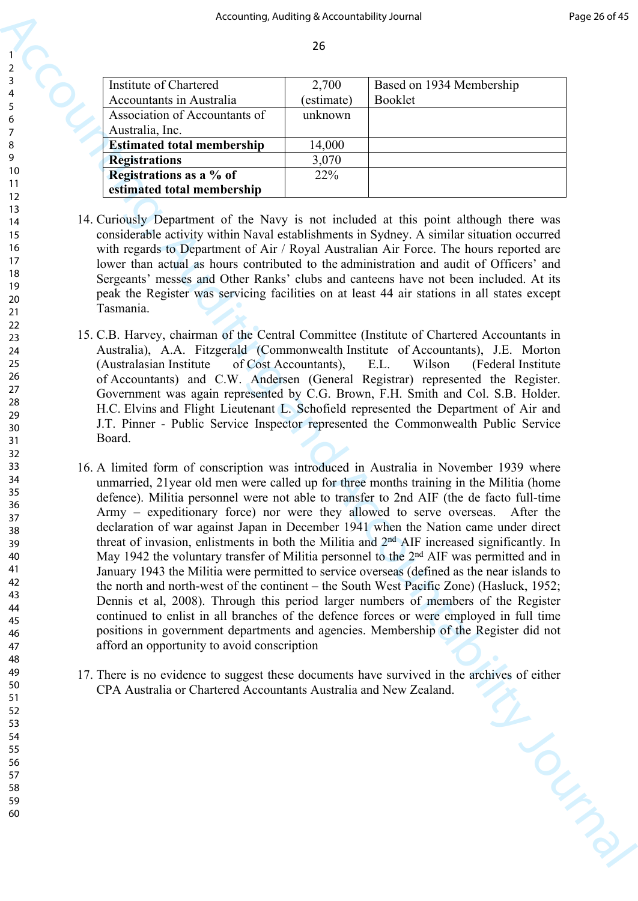| Institute of Chartered            | 2,700      | Based on 1934 Membership |
|-----------------------------------|------------|--------------------------|
| Accountants in Australia          | (estimate) | <b>Booklet</b>           |
| Association of Accountants of     | unknown    |                          |
| Australia, Inc.                   |            |                          |
| <b>Estimated total membership</b> | 14,000     |                          |
| <b>Registrations</b>              | 3,070      |                          |
| Registrations as a % of           | 22%        |                          |
| estimated total membership        |            |                          |

- 14. Curiously Department of the Navy is not included at this point although there was considerable activity within Naval establishments in Sydney. A similar situation occurred with regards to Department of Air / Royal Australian Air Force. The hours reported are lower than actual as hours contributed to the administration and audit of Officers' and Sergeants' messes and Other Ranks' clubs and canteens have not been included. At its peak the Register was servicing facilities on at least 44 air stations in all states except Tasmania.
- 15. C.B. Harvey, chairman of the Central Committee (Institute of Chartered Accountants in Australia), A.A. Fitzgerald (Commonwealth Institute of Accountants), J.E. Morton (Australasian Institute of Cost Accountants), E.L. Wilson (Federal Institute of Accountants) and C.W. Andersen (General Registrar) represented the Register. Government was again represented by C.G. Brown, F.H. Smith and Col. S.B. Holder. H.C. Elvins and Flight Lieutenant L. Schofield represented the Department of Air and J.T. Pinner - Public Service Inspector represented the Commonwealth Public Service Board.
- Accounting, Additing a because delay is a control of the state of the state of the state of the state of the state of the state of the state of the state of the state of the state of the state of the state of the state of 16. A limited form of conscription was introduced in Australia in November 1939 where unmarried, 21year old men were called up for three months training in the Militia (home defence). Militia personnel were not able to transfer to 2nd AIF (the de facto full-time Army – expeditionary force) nor were they allowed to serve overseas. After the declaration of war against Japan in December 1941 when the Nation came under direct threat of invasion, enlistments in both the Militia and 2nd AIF increased significantly. In May 1942 the voluntary transfer of Militia personnel to the 2<sup>nd</sup> AIF was permitted and in January 1943 the Militia were permitted to service overseas (defined as the near islands to the north and north-west of the continent – the South West Pacific Zone) (Hasluck, 1952; Dennis et al, 2008). Through this period larger numbers of members of the Register continued to enlist in all branches of the defence forces or were employed in full time positions in government departments and agencies. Membership of the Register did not afford an opportunity to avoid conscription
	- 17. There is no evidence to suggest these documents have survived in the archives of either CPA Australia or Chartered Accountants Australia and New Zealand. CPA Australia or Chartered Accountants Australia and New Zealand.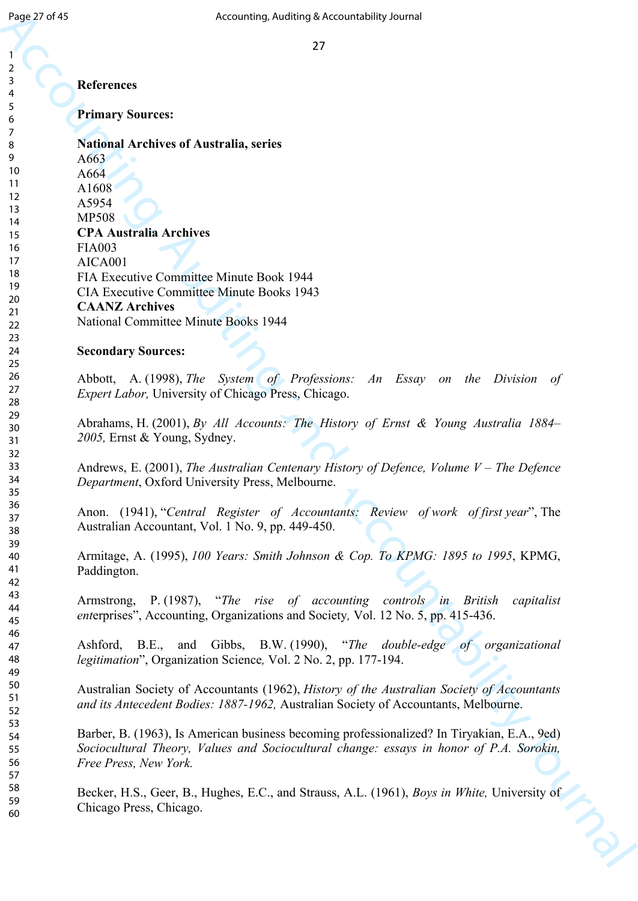## **References**

**Primary Sources:**

Equal of 45<br>
Accounting, Auditors of American Equal of Accounting the Security Journal of the Security Survey of Accounts<br>
Account Security Survey:<br>
Accounts of American Accounts (American Central Accounts Accounts Accoun **National Archives of Australia, series** A663 A664 A1608 A5954 MP508 **CPA Australia Archives** FIA003 AICA001 FIA Executive Committee Minute Book 1944 CIA Executive Committee Minute Books 1943 **CAANZ Archives** National Committee Minute Books 1944

## **Secondary Sources:**

Abbott, A. (1998), *The System of Professions: An Essay on the Division of Expert Labor,* University of Chicago Press, Chicago.

Abrahams, H. (2001), *By All Accounts: The History of Ernst & Young Australia 1884– 2005,* Ernst & Young, Sydney.

Andrews, E. (2001), *The Australian Centenary History of Defence, Volume V – The Defence Department*, Oxford University Press, Melbourne.

Anon. (1941), "*Central Register of Accountants: Review of work of first year*", The Australian Accountant, Vol. 1 No. 9, pp. 449-450.

Armitage, A. (1995), *100 Years: Smith Johnson & Cop. To KPMG: 1895 to 1995*, KPMG, Paddington.

Armstrong, P. (1987), "*The rise of accounting controls in British capitalist ent*erprises", Accounting, Organizations and Society*,* Vol. 12 No. 5, pp. 415-436.

Ashford, B.E., and Gibbs, B.W. (1990), "*The double-edge of organizational legitimation*", Organization Science*,* Vol. 2 No. 2, pp. 177-194.

Australian Society of Accountants (1962), *History of the Australian Society of Accountants and its Antecedent Bodies: 1887-1962,* Australian Society of Accountants, Melbourne.

Barber, B. (1963), Is American business becoming professionalized? In Tiryakian, E.A., 9ed) *Sociocultural Theory, Values and Sociocultural change: essays in honor of P.A. Sorokin, Free Press, New York.*

Becker, H.S., Geer, B., Hughes, E.C., and Strauss, A.L. (1961), *Boys in White,* University of Chicago Press, Chicago.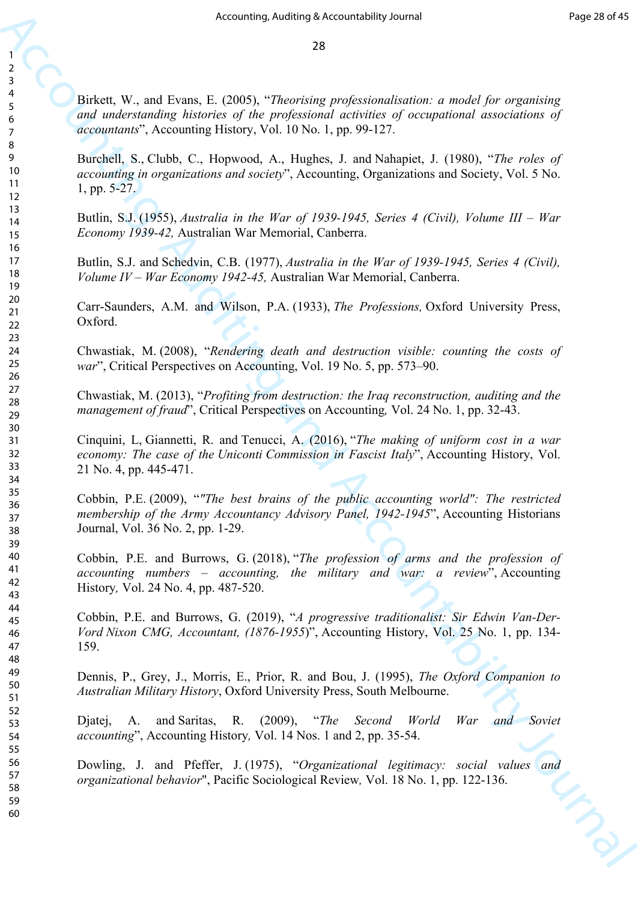Birkett, W., and Evans, E. (2005), "*Theorising professionalisation: a model for organising and understanding histories of the professional activities of occupational associations of accountants*", Accounting History, Vol. 10 No. 1, pp. 99-127.

Burchell, S., Clubb, C., Hopwood, A., Hughes, J. and Nahapiet, J. (1980), "*The roles of accounting in organizations and society*", Accounting, Organizations and Society, Vol. 5 No. 1, pp. 5-27.

Butlin, S.J. (1955), *Australia in the War of 1939-1945, Series 4 (Civil), Volume III – War Economy 1939-42,* Australian War Memorial, Canberra.

Butlin, S.J. and Schedvin, C.B. (1977), *Australia in the War of 1939-1945, Series 4 (Civil), Volume IV – War Economy 1942-45,* Australian War Memorial, Canberra.

Carr-Saunders, A.M. and Wilson, P.A. (1933), *The Professions,* Oxford University Press, Oxford.

Chwastiak, M. (2008), "*Rendering death and destruction visible: counting the costs of war*", Critical Perspectives on Accounting, Vol. 19 No. 5, pp. 573–90.

Chwastiak, M. (2013), "*Profiting from destruction: the Iraq reconstruction, auditing and the management of fraud*", Critical Perspectives on Accounting*,* Vol. 24 No. 1, pp. 32-43.

Cinquini, L, Giannetti, R. and Tenucci, A. (2016), "*The making of uniform cost in a war economy: The case of the Uniconti Commission in Fascist Italy*", Accounting History, Vol. 21 No. 4, pp. 445-471.

Cobbin, P.E. (2009), "*"The best brains of the public accounting world": The restricted membership of the Army Accountancy Advisory Panel, 1942-1945*", Accounting Historians Journal, Vol. 36 No. 2, pp. 1-29.

Cobbin, P.E. and Burrows, G. (2018), "*The profession of arms and the profession of accounting numbers – accounting, the military and war: a review*", Accounting History*,* Vol. 24 No. 4, pp. 487-520.

Accounting, Addition, Schwartschleig bezonstability Journal Forgatterial<br>
Accounting and Evines. E. (2005). "Therefore gradientical control for organization of<br>
and unateracting interiors, of the professional according co Cobbin, P.E. and Burrows, G. (2019), "*A progressive traditionalist: Sir Edwin Van-Der-Vord Nixon CMG, Accountant, (1876-1955*)", Accounting History, Vol. 25 No. 1, pp. 134- 159.

Dennis, P., Grey, J., Morris, E., Prior, R. and Bou, J. (1995), *The Oxford Companion to Australian Military History*, Oxford University Press, South Melbourne.

Djatej, A. and Saritas, R. (2009), "*The Second World War and Soviet accounting*", Accounting History*,* Vol. 14 Nos. 1 and 2, pp. 35-54.

Dowling, J. and Pfeffer, J. (1975), "*Organizational legitimacy: social values and organizational behavior*", Pacific Sociological Review*,* Vol. 18 No. 1, pp. 122-136.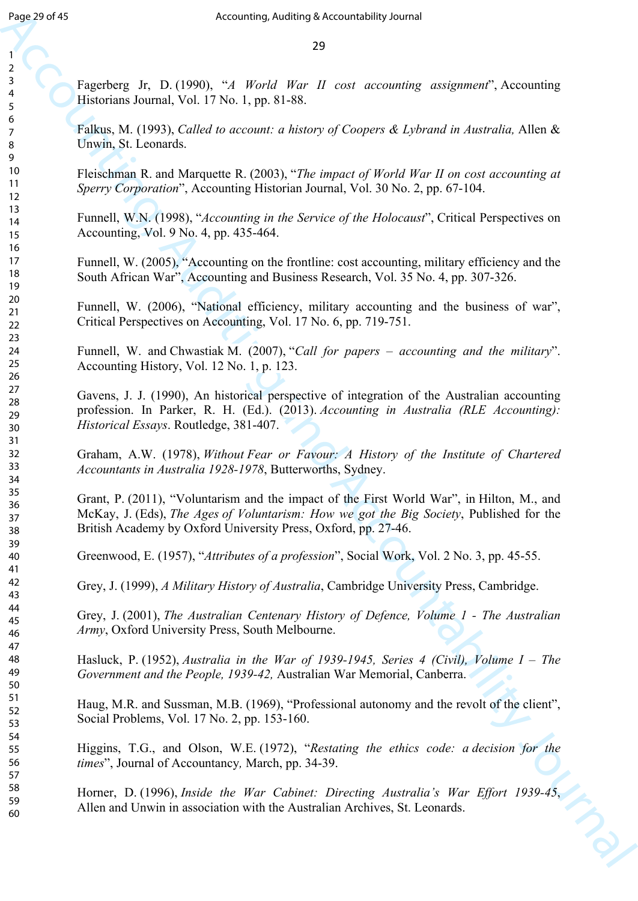Fagerberg Jr, D. (1990), "*A World War II cost accounting assignment*", Accounting Historians Journal, Vol. 17 No. 1, pp. 81-88.

Falkus, M. (1993), *Called to account: a history of Coopers & Lybrand in Australia,* Allen & Unwin, St. Leonards.

Fleischman R. and Marquette R. (2003), "*The impact of World War II on cost accounting at Sperry Corporation*", Accounting Historian Journal, Vol. 30 No. 2, pp. 67-104.

Funnell, W.N. (1998), "*Accounting in the Service of the Holocaust*", Critical Perspectives on Accounting, Vol. 9 No. 4, pp. 435-464.

Funnell, W. (2005), "Accounting on the frontline: cost accounting, military efficiency and the South African War", Accounting and Business Research, Vol. 35 No. 4, pp. 307-326.

Funnell, W. (2006), "National efficiency, military accounting and the business of war", Critical Perspectives on Accounting, Vol. 17 No. 6, pp. 719-751.

Funnell, W. and Chwastiak M. (2007), "*Call for papers – accounting and the military*". Accounting History, Vol. 12 No. 1, p. 123.

Equiped 45<br>
Accounting Action (and the Papel 2019)<br>
Accounting and the Papel 2019 (Accounting and the Papel 2019)<br>
This counter of the Counter of the Counter of the Counter of the Counter<br>
Figure 3. The Counter of the Co Gavens, J. J. (1990), An historical perspective of integration of the Australian accounting profession. In Parker, R. H. (Ed.). (2013). *Accounting in Australia (RLE Accounting): Historical Essays*. Routledge, 381-407.

Graham, A.W. (1978), *Without Fear or Favour: A History of the Institute of Chartered Accountants in Australia 1928-1978*, Butterworths, Sydney.

Grant, P. (2011), "Voluntarism and the impact of the First World War", in Hilton, M., and McKay, J. (Eds), *The Ages of Voluntarism: How we got the Big Society*, Published for the British Academy by Oxford University Press, Oxford, pp. 27-46.

Greenwood, E. (1957), "*Attributes of a profession*", Social Work, Vol. 2 No. 3, pp. 45-55.

Grey, J. (1999), *A Military History of Australia*, Cambridge University Press, Cambridge.

Grey, J. (2001), *The Australian Centenary History of Defence, Volume 1 - The Australian Army*, Oxford University Press, South Melbourne.

Hasluck, P. (1952), *Australia in the War of 1939-1945, Series 4 (Civil), Volume I – The Government and the People, 1939-42,* Australian War Memorial, Canberra.

Haug, M.R. and Sussman, M.B. (1969), "Professional autonomy and the revolt of the client", Social Problems, Vol. 17 No. 2, pp. 153-160.

Higgins, T.G., and Olson, W.E. (1972), "*Restating the ethics code: a decision for the times*", Journal of Accountancy*,* March, pp. 34-39.

Horner, D. (1996), *Inside the War Cabinet: Directing Australia's War Effort 1939-45*, Allen and Unwin in association with the Australian Archives, St. Leonards.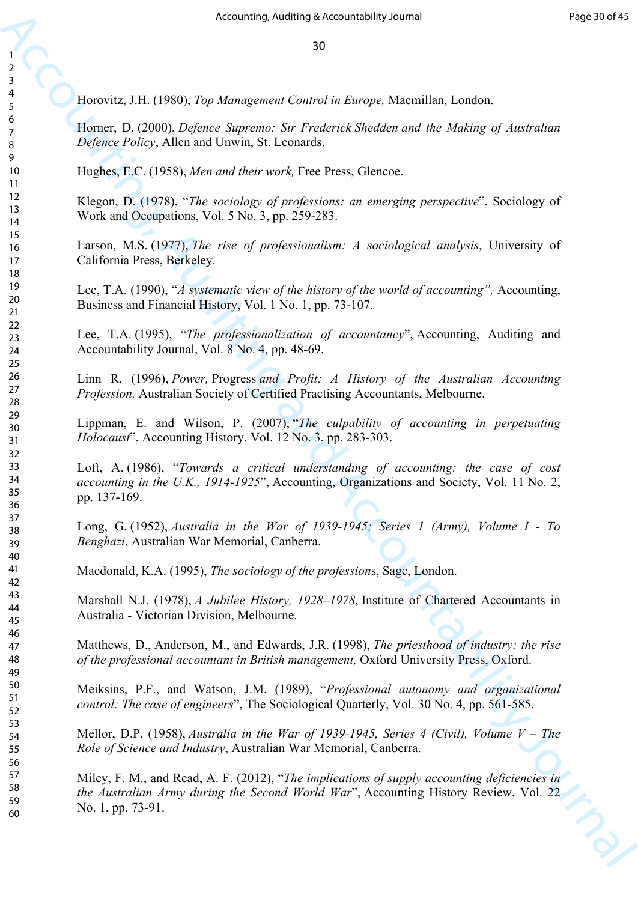Horovitz, J.H. (1980), *Top Management Control in Europe,* Macmillan, London.

Horner, D. (2000), *Defence Supremo: Sir Frederick Shedden and the Making of Australian Defence Policy*, Allen and Unwin, St. Leonards.

Hughes, E.C. (1958), *Men and their work,* Free Press, Glencoe.

Klegon, D. (1978), "*The sociology of professions: an emerging perspective*", Sociology of Work and Occupations, Vol. 5 No. 3, pp. 259-283.

Larson, M.S. (1977), *The rise of professionalism: A sociological analysis*, University of California Press, Berkeley.

Lee, T.A. (1990), "*A systematic view of the history of the world of accounting",* Accounting, Business and Financial History, Vol. 1 No. 1, pp. 73-107.

Lee, T.A. (1995), "*The professionalization of accountancy*", Accounting, Auditing and Accountability Journal, Vol. 8 No. 4, pp. 48-69.

Linn R. (1996), *Power,* Progress *and Profit: A History of the Australian Accounting Profession,* Australian Society of Certified Practising Accountants, Melbourne.

Lippman, E. and Wilson, P. (2007), "*The culpability of accounting in perpetuating Holocaust*", Accounting History, Vol. 12 No. 3, pp. 283-303.

Accounting, Auditing Setzentebbility Direct Engines (September 1987)<br>
Accounting, Auditor, C. (1990), Top Management Convertis Conduct a Constanting Leadern.<br>
However, D. (1990), Top Management Convertis Conducts Constant Loft, A. (1986), "*Towards a critical understanding of accounting: the case of cost accounting in the U.K., 1914-1925*", Accounting, Organizations and Society, Vol. 11 No. 2, pp. 137-169.

Long, G. (1952), *Australia in the War of 1939-1945; Series 1 (Army), Volume I - To Benghazi*, Australian War Memorial, Canberra.

Macdonald, K.A. (1995), *The sociology of the profession*s, Sage, London.

Marshall N.J. (1978), *A Jubilee History, 1928*–*1978*, Institute of Chartered Accountants in Australia - Victorian Division, Melbourne.

Matthews, D., Anderson, M., and Edwards, J.R. (1998), *The priesthood of industry: the rise of the professional accountant in British management,* Oxford University Press, Oxford.

Meiksins, P.F., and Watson, J.M. (1989), "*Professional autonomy and organizational control: The case of engineers*", The Sociological Quarterly, Vol. 30 No. 4, pp. 561-585.

Mellor, D.P. (1958), *Australia in the War of 1939-1945, Series 4 (Civil), Volume V – The Role of Science and Industry*, Australian War Memorial, Canberra.

Miley, F. M., and Read, A. F. (2012), "*The implications of supply accounting deficiencies in the Australian Army during the Second World War*", Accounting History Review, Vol. 22 No. 1, pp. 73-91.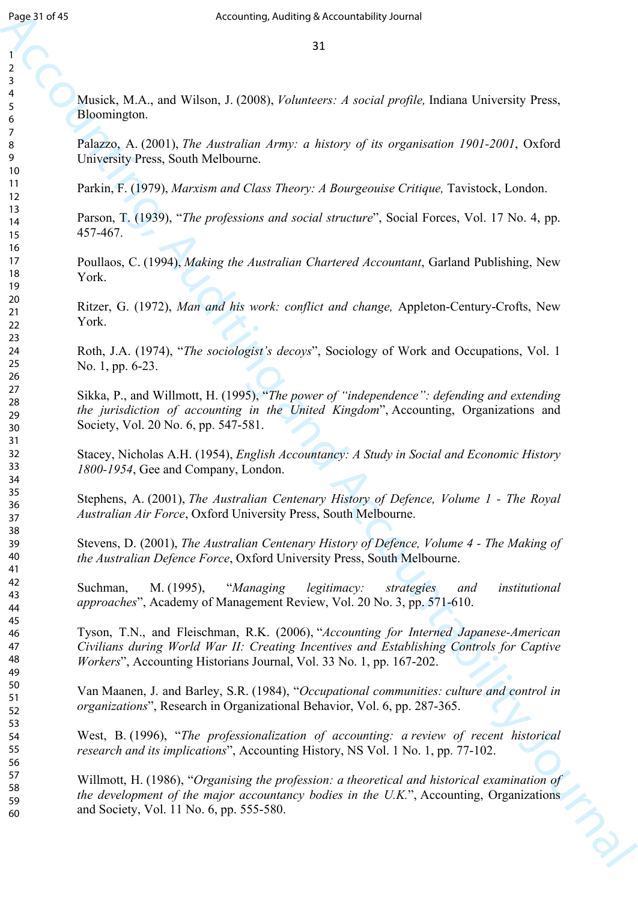Musick, M.A., and Wilson, J. (2008), *Volunteers: A social profile,* Indiana University Press, Bloomington.

Palazzo, A. (2001), *The Australian Army: a history of its organisation 1901-2001*, Oxford University Press, South Melbourne.

Parkin, F. (1979), *Marxism and Class Theory: A Bourgeouise Critique,* Tavistock, London.

Parson, T. (1939), "*The professions and social structure*", Social Forces, Vol. 17 No. 4, pp. 457-467.

Poullaos, C. (1994), *Making the Australian Chartered Accountant*, Garland Publishing, New York.

Ritzer, G. (1972), *Man and his work: conflict and change,* Appleton-Century-Crofts, New York.

Roth, J.A. (1974), "*The sociologist's decoys*", Sociology of Work and Occupations, Vol. 1 No. 1, pp. 6-23.

Sikka, P., and Willmott, H. (1995), "*The power of "independence": defending and extending the jurisdiction of accounting in the United Kingdom*", Accounting, Organizations and Society, Vol. 20 No. 6, pp. 547-581.

Stacey, Nicholas A.H. (1954), *English Accountancy: A Study in Social and Economic History 1800-1954*, Gee and Company, London.

Stephens, A. (2001), *The Australian Centenary History of Defence, Volume 1 - The Royal Australian Air Force*, Oxford University Press, South Melbourne.

Stevens, D. (2001), *The Australian Centenary History of Defence, Volume 4 - The Making of the Australian Defence Force*, Oxford University Press, South Melbourne.

Suchman, M. (1995), "*Managing legitimacy: strategies and institutional approaches*", Academy of Management Review, Vol. 20 No. 3, pp. 571-610.

Tyson, T.N., and Fleischman, R.K. (2006), "*Accounting for Interned Japanese-American Civilians during World War II: Creating Incentives and Establishing Controls for Captive Workers*", Accounting Historians Journal, Vol. 33 No. 1, pp. 167-202.

Van Maanen, J. and Barley, S.R. (1984), "*Occupational communities: culture and control in organizations*", Research in Organizational Behavior, Vol. 6, pp. 287-365.

West, B. (1996), "*The professionalization of accounting: a review of recent historical research and its implications*", Accounting History, NS Vol. 1 No. 1, pp. 77-102.

For  $\mu$  30<br>
Accounting Actions 2.3<br>
Accounting and 2.3<br>
Accounting and 2.000 Molecular States 2.4 social profile. Lakina Calcounts Press.<br>
Altomatique, A. 2008). Polymerical and account of the China Calcounts 2.4 social Willmott, H. (1986), "*Organising the profession: a theoretical and historical examination of the development of the major accountancy bodies in the U.K.*", Accounting, Organizations and Society, Vol. 11 No. 6, pp. 555-580.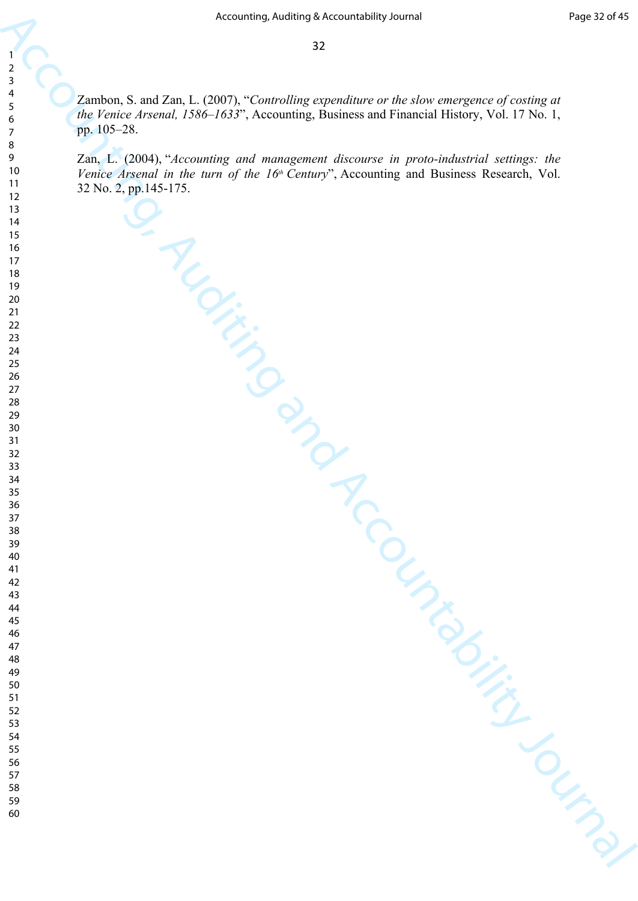Accounting, Addition Schwartedship Journal of the counter of conting at  $\frac{2}{3}$ <br>  $\frac{2}{3}$ <br>  $\frac{2}{3}$ <br>  $\frac{2}{3}$ <br>  $\frac{2}{3}$ <br>  $\frac{2}{3}$ <br>  $\frac{2}{3}$ <br>  $\frac{2}{3}$ <br>  $\frac{2}{3}$ <br>  $\frac{2}{3}$ <br>  $\frac{2}{3}$ <br>  $\frac{2}{3}$ <br>  $\frac{2}{3}$ <br>  $\frac{2}{$ Zambon, S. and Zan, L. (2007), "*Controlling expenditure or the slow emergence of costing at the Venice Arsenal, 1586–1633*", Accounting, Business and Financial History, Vol. 17 No. 1, pp. 105–28.

Zan, L. (2004), "*Accounting and management discourse in proto-industrial settings: the Venice Arsenal in the turn of the 16<sup>th</sup> Century*", Accounting and Business Research, Vol. 32 No. 2, pp.145-175.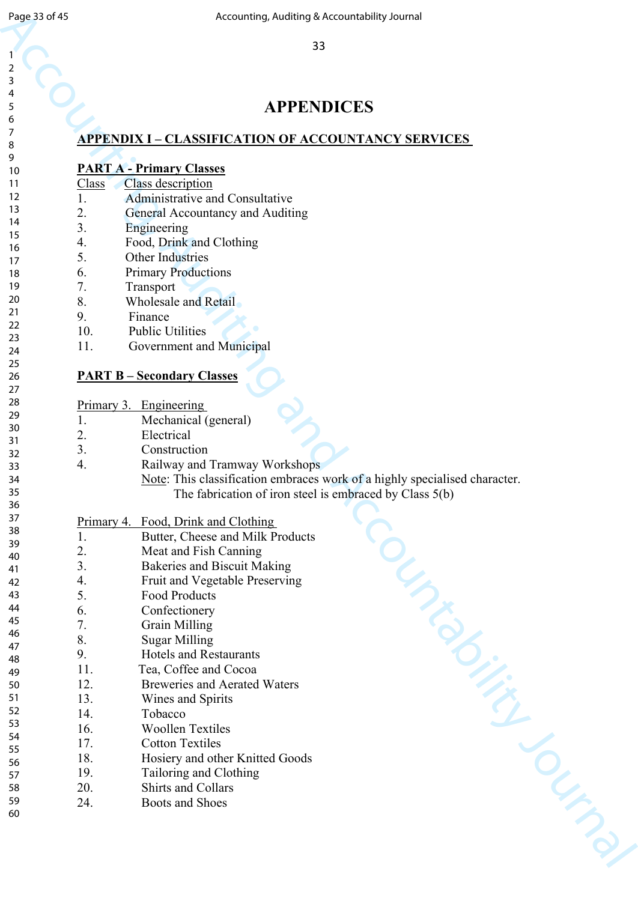# **APPENDICES**

## **APPENDIX I – CLASSIFICATION OF ACCOUNTANCY SERVICES**

| <b>PART A - Primary Classes</b> |
|---------------------------------|
|---------------------------------|

| Class <sup>1</sup> |  | Class description |  |
|--------------------|--|-------------------|--|
|                    |  |                   |  |

- 1. Administrative and Consultative
- General Accountancy and Auditing
	- **Engineering**
- 4. Food, Drink and Clothing
- **Other Industries**
- 6. Primary Productions
- **Transport**
- Wholesale and Retail
- 9. Finance
- Public Utilities
- Government and Municipal

## **PART B – Secondary Classes**

| Page 33 of 45 |       | Accounting, Auditing & Accountability Journal                              |
|---------------|-------|----------------------------------------------------------------------------|
|               |       |                                                                            |
|               |       | 33                                                                         |
| 2             |       |                                                                            |
| 3             |       |                                                                            |
| 4             |       |                                                                            |
| 5             |       | <b>APPENDICES</b>                                                          |
| 6             |       |                                                                            |
| 7<br>8        |       | <b>APPENDIX I - CLASSIFICATION OF ACCOUNTANCY SERVICES</b>                 |
| 9             |       |                                                                            |
| 10            |       | <b>PART A - Primary Classes</b>                                            |
| 11            | Class | Class description                                                          |
| 12            | 1.    | Administrative and Consultative                                            |
| 13            | 2.    | General Accountancy and Auditing                                           |
| 14            | 3.    | Engineering                                                                |
| 15<br>16      | 4.    | Food, Drink and Clothing                                                   |
| 17            | 5.    | Other Industries                                                           |
| 18            | 6.    | <b>Primary Productions</b>                                                 |
| 19            | 7.    | Transport                                                                  |
| 20            | 8.    | <b>Wholesale and Retail</b>                                                |
| 21            | 9.    | Finance                                                                    |
| 22            | 10.   | <b>Public Utilities</b>                                                    |
| 23<br>24      | 11.   | Government and Municipal                                                   |
| 25            |       |                                                                            |
| 26            |       | <b>PART B - Secondary Classes</b>                                          |
| 27            |       |                                                                            |
| 28            |       | Primary 3. Engineering                                                     |
| 29            | 1.    | Mechanical (general)                                                       |
| 30            | 2.    | Electrical                                                                 |
| 31<br>32      | 3.    | Construction                                                               |
| 33            | 4.    | Railway and Tramway Workshops                                              |
| 34            |       | Note: This classification embraces work of a highly specialised character. |
| 35            |       | The fabrication of iron steel is embraced by Class 5(b)                    |
| 36            |       |                                                                            |
| 37            |       | Primary 4. Food, Drink and Clothing                                        |
| 38            | 1.    | Butter, Cheese and Milk Products                                           |
| 39<br>40      | 2.    | Meat and Fish Canning                                                      |
| 41            | 3.    | <b>Bakeries and Biscuit Making</b>                                         |
| 42            | 4.    | Fruit and Vegetable Preserving                                             |
| 43            | 5.    | <b>Food Products</b>                                                       |
| 44            | 6.    | Confectionery                                                              |
| 45            | 7.    | <b>Grain Milling</b>                                                       |
| 46<br>47      | 8.    | <b>Sugar Milling</b>                                                       |
| 48            | 9.    | <b>Hotels and Restaurants</b>                                              |
| 49            | 11.   | Tea, Coffee and Cocoa                                                      |
| 50            | 12.   | <b>Breweries and Aerated Waters</b>                                        |
| 51            | 13.   | Wines and Spirits                                                          |
| 52            | 14.   | Tobacco                                                                    |
| 53            | 16.   | <b>Woollen Textiles</b>                                                    |
| 54<br>55      | 17.   | <b>Cotton Textiles</b>                                                     |
| 56            | 18.   | Hosiery and other Knitted Goods                                            |
| 57            | 19.   | Tailoring and Clothing                                                     |
| 58            | 20.   | <b>Shirts and Collars</b>                                                  |
| 59            | 24.   | Boots and Shoes                                                            |
| 60            |       |                                                                            |
|               |       |                                                                            |
|               |       |                                                                            |
|               |       | OUMEDINATION                                                               |
|               |       |                                                                            |
|               |       |                                                                            |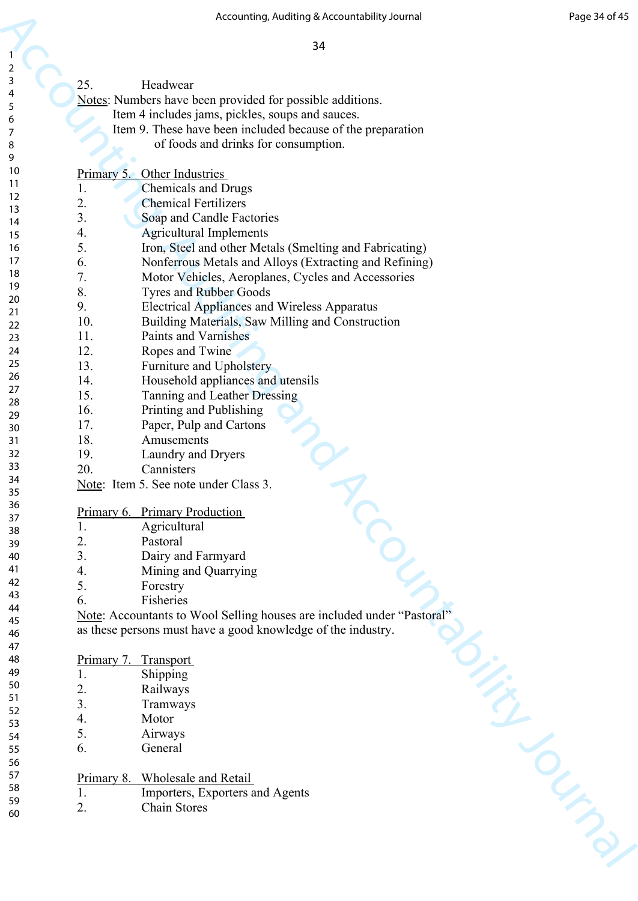|                |                | Accounting, Auditing & Accountability Journal                          | Page 34 of 45 |
|----------------|----------------|------------------------------------------------------------------------|---------------|
|                |                |                                                                        |               |
|                |                | 34                                                                     |               |
| $\overline{2}$ |                |                                                                        |               |
| 3              | 25.            | Headwear                                                               |               |
| 4              |                | Notes: Numbers have been provided for possible additions.              |               |
| 5              |                | Item 4 includes jams, pickles, soups and sauces.                       |               |
| 6<br>7         |                | Item 9. These have been included because of the preparation            |               |
| 8              |                | of foods and drinks for consumption.                                   |               |
| 9              |                |                                                                        |               |
| 10             | Primary 5.     | Other Industries                                                       |               |
| 11             | 1.             | <b>Chemicals and Drugs</b>                                             |               |
| 12<br>13       | 2.             | <b>Chemical Fertilizers</b>                                            |               |
| 14             | 3.             | Soap and Candle Factories                                              |               |
| 15             | 4.             | <b>Agricultural Implements</b>                                         |               |
| 16             | 5.             | Iron, Steel and other Metals (Smelting and Fabricating)                |               |
| 17             | 6.             | Nonferrous Metals and Alloys (Extracting and Refining)                 |               |
| 18             | 7.             | Motor Vehicles, Aeroplanes, Cycles and Accessories                     |               |
| 19             | 8.             | <b>Tyres and Rubber Goods</b>                                          |               |
| 20<br>21       | 9.             | <b>Electrical Appliances and Wireless Apparatus</b>                    |               |
| 22             | 10.            | Building Materials, Saw Milling and Construction                       |               |
| 23             | 11.            | Paints and Varnishes                                                   |               |
| 24             | 12.            | Ropes and Twine                                                        |               |
| 25             | 13.            | Furniture and Upholstery                                               |               |
| 26             | 14.            | Household appliances and utensils                                      |               |
| 27<br>28       | 15.            | Tanning and Leather Dressing                                           |               |
| 29             | 16.            | Printing and Publishing                                                |               |
| 30             | 17.            | Paper, Pulp and Cartons                                                |               |
| 31             | 18.            | Amusements                                                             |               |
| 32             | 19.            | Laundry and Dryers                                                     |               |
| 33             | 20.            | Cannisters                                                             |               |
| 34             |                | Note: Item 5. See note under Class 3.                                  |               |
| 35<br>36       |                |                                                                        |               |
| 37             |                | Primary 6. Primary Production                                          |               |
| 38             | 1.             | Agricultural                                                           |               |
| 39             | 2.             | Pastoral                                                               |               |
| 40             | 3.             | Dairy and Farmyard                                                     |               |
| 41             | 4.             | Mining and Quarrying                                                   |               |
| 42<br>43       | 5.             | Forestry                                                               |               |
| 44             | 6.             | Fisheries                                                              |               |
| 45             |                | Note: Accountants to Wool Selling houses are included under "Pastoral" |               |
| 46             |                | as these persons must have a good knowledge of the industry.           |               |
| 47             |                |                                                                        |               |
| 48             |                | Primary 7. Transport                                                   |               |
| 49<br>50       | 1.             | Shipping                                                               |               |
| 51             | 2.             | Railways                                                               |               |
| 52             | 3 <sub>1</sub> | Tramways                                                               |               |
| 53             | 4.             | Motor                                                                  |               |
| 54             | 5.             | Airways                                                                |               |
| 55             | 6.             | General                                                                |               |
| 56<br>57       |                |                                                                        |               |
| 58             |                | Primary 8. Wholesale and Retail                                        |               |
| 59             | 1.             | Importers, Exporters and Agents                                        |               |
| 60             | 2.             | <b>Chain Stores</b>                                                    |               |
|                |                |                                                                        | I Lynn        |
|                |                |                                                                        |               |
|                |                |                                                                        |               |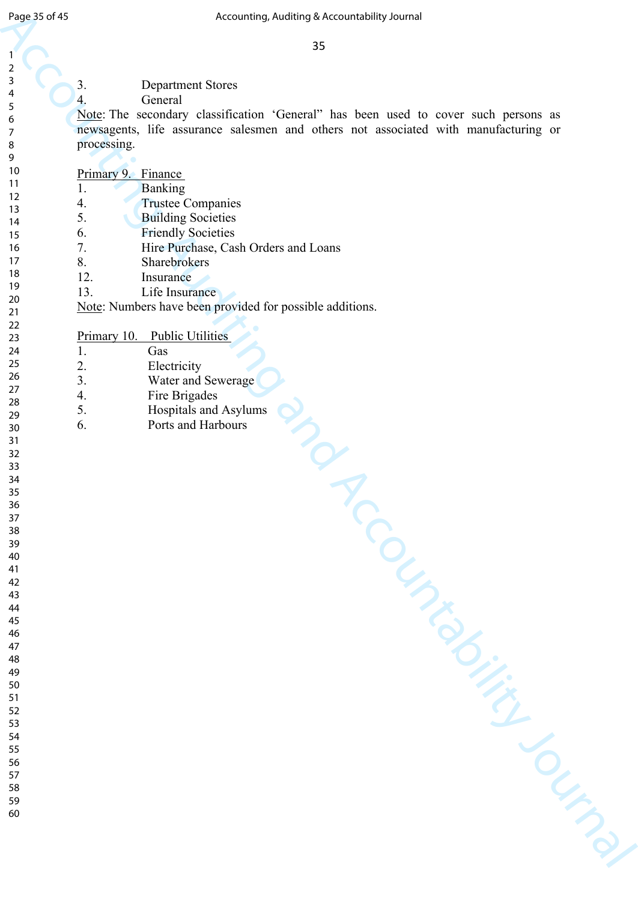- Department Stores
- General

| Page 35 of 45 | Accounting, Auditing & Accountability Journal                                       |
|---------------|-------------------------------------------------------------------------------------|
|               |                                                                                     |
| 1             | 35                                                                                  |
| 2             |                                                                                     |
| 3             | 3.                                                                                  |
| 4             | <b>Department Stores</b>                                                            |
| 5             | $\overline{4}$ .<br>General                                                         |
| 6             | Note: The secondary classification 'General" has been used to cover such persons as |
| 7             | newsagents, life assurance salesmen and others not associated with manufacturing or |
| 8             | processing.                                                                         |
| 9<br>10       |                                                                                     |
| 11            | Primary 9. Finance                                                                  |
| 12            | <b>Banking</b><br>1.                                                                |
| 13            | 4.<br><b>Trustee Companies</b>                                                      |
| 14            | 5.<br><b>Building Societies</b>                                                     |
| 15            | 6.<br><b>Friendly Societies</b>                                                     |
| 16            | 7.<br>Hire Purchase, Cash Orders and Loans                                          |
| 17            | 8.<br><b>Sharebrokers</b>                                                           |
| 18<br>19      | 12.<br>Insurance                                                                    |
| 20            | 13.<br>Life Insurance                                                               |
| 21            | Note: Numbers have been provided for possible additions.                            |
| 22            |                                                                                     |
| 23            | Primary 10. Public Utilities                                                        |
| 24            | Gas<br>1.                                                                           |
| 25            | 2.<br>Electricity                                                                   |
| 26<br>27      | 3.<br>Water and Sewerage                                                            |
| 28            | Fire Brigades<br>4.                                                                 |
| 29            | 5.<br>Hospitals and Asylums                                                         |
| 30            | Ports and Harbours<br>6.                                                            |
| 31            |                                                                                     |
| 32            |                                                                                     |
| 33<br>34      |                                                                                     |
| 35            |                                                                                     |
| 36            |                                                                                     |
| 37            |                                                                                     |
| 38            |                                                                                     |
| 39            |                                                                                     |
| 40            |                                                                                     |
| 41<br>42      |                                                                                     |
| 43            |                                                                                     |
| 44            |                                                                                     |
| 45            |                                                                                     |
| 46            |                                                                                     |
| 47            |                                                                                     |
| 48            |                                                                                     |
| 49<br>50      |                                                                                     |
| 51            |                                                                                     |
| 52            |                                                                                     |
| 53            |                                                                                     |
| 54            |                                                                                     |
| 55            |                                                                                     |
| 56<br>57      |                                                                                     |
| 58            |                                                                                     |
| 59            |                                                                                     |
| 60            |                                                                                     |
|               |                                                                                     |
|               |                                                                                     |
|               |                                                                                     |
|               |                                                                                     |
|               |                                                                                     |

| Primary 10. | <b>Public Utilities</b> |
|-------------|-------------------------|
|             |                         |

- Gas Electricity 3. Water and Sewerage Fire Brigades 5. Hospitals and Asylums
- Ports and Harbours
-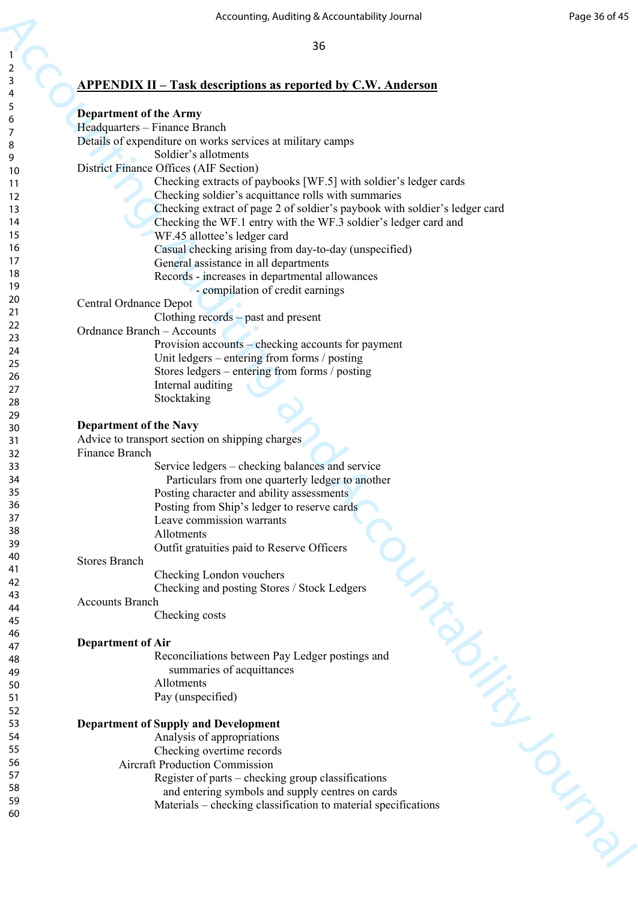# **APPENDIX II – Task descriptions as reported by C.W. Anderson**

|                | Accounting, Auditing & Accountability Journal                                      | Page 36 of 45 |
|----------------|------------------------------------------------------------------------------------|---------------|
|                |                                                                                    |               |
|                | 36                                                                                 |               |
| $\overline{2}$ |                                                                                    |               |
| 3              |                                                                                    |               |
| 4              | <b>APPENDIX II – Task descriptions as reported by C.W. Anderson</b>                |               |
| 5              |                                                                                    |               |
| 6              | <b>Department of the Army</b>                                                      |               |
| 7              | Headquarters - Finance Branch                                                      |               |
| 8              | Details of expenditure on works services at military camps<br>Soldier's allotments |               |
| 9              | District Finance Offices (AIF Section)                                             |               |
| 10             | Checking extracts of paybooks [WF.5] with soldier's ledger cards                   |               |
| 11<br>12       | Checking soldier's acquittance rolls with summaries                                |               |
| 13             | Checking extract of page 2 of soldier's paybook with soldier's ledger card         |               |
| 14             | Checking the WF.1 entry with the WF.3 soldier's ledger card and                    |               |
| 15             | WF.45 allottee's ledger card                                                       |               |
| 16             | Casual checking arising from day-to-day (unspecified)                              |               |
| 17             | General assistance in all departments                                              |               |
| 18             | Records - increases in departmental allowances                                     |               |
| 19             | - compilation of credit earnings                                                   |               |
| 20             | Central Ordnance Depot                                                             |               |
| 21             | Clothing records - past and present                                                |               |
| 22             | Ordnance Branch - Accounts                                                         |               |
| 23             | Provision accounts - checking accounts for payment                                 |               |
| 24<br>25       | Unit ledgers – entering from forms / posting                                       |               |
| 26             | Stores ledgers – entering from forms / posting                                     |               |
| 27             | Internal auditing                                                                  |               |
| 28             | Stocktaking                                                                        |               |
| 29             |                                                                                    |               |
| 30             | <b>Department of the Navy</b>                                                      |               |
| 31             | Advice to transport section on shipping charges                                    |               |
| 32             | Finance Branch                                                                     |               |
| 33             | Service ledgers – checking balances and service                                    |               |
| 34             | Particulars from one quarterly ledger to another                                   |               |
| 35             | Posting character and ability assessments                                          |               |
| 36<br>37       | Posting from Ship's ledger to reserve cards                                        |               |
| 38             | Leave commission warrants                                                          |               |
| 39             | Allotments                                                                         |               |
| 40             | Outfit gratuities paid to Reserve Officers                                         |               |
| 41             | <b>Stores Branch</b>                                                               |               |
| 42             | Checking London vouchers                                                           |               |
| 43             | Checking and posting Stores / Stock Ledgers<br><b>Accounts Branch</b>              |               |
| 44             | Checking costs                                                                     |               |
| 45             |                                                                                    |               |
| 46             | <b>LIMBYSING</b><br><b>Department of Air</b>                                       |               |
| 47             | Reconciliations between Pay Ledger postings and                                    |               |
| 48<br>49       | summaries of acquittances                                                          |               |
| 50             | Allotments                                                                         |               |
| 51             | Pay (unspecified)                                                                  |               |
| 52             |                                                                                    |               |
| 53             | <b>Department of Supply and Development</b>                                        |               |
| 54             | Analysis of appropriations                                                         |               |
| 55             | Checking overtime records                                                          |               |
| 56             | <b>Aircraft Production Commission</b>                                              |               |
| 57             | Register of parts – checking group classifications                                 |               |
| 58             | and entering symbols and supply centres on cards                                   |               |
| 59<br>60       | Materials - checking classification to material specifications                     |               |
|                |                                                                                    |               |
|                |                                                                                    | Your Man      |
|                |                                                                                    |               |
|                |                                                                                    |               |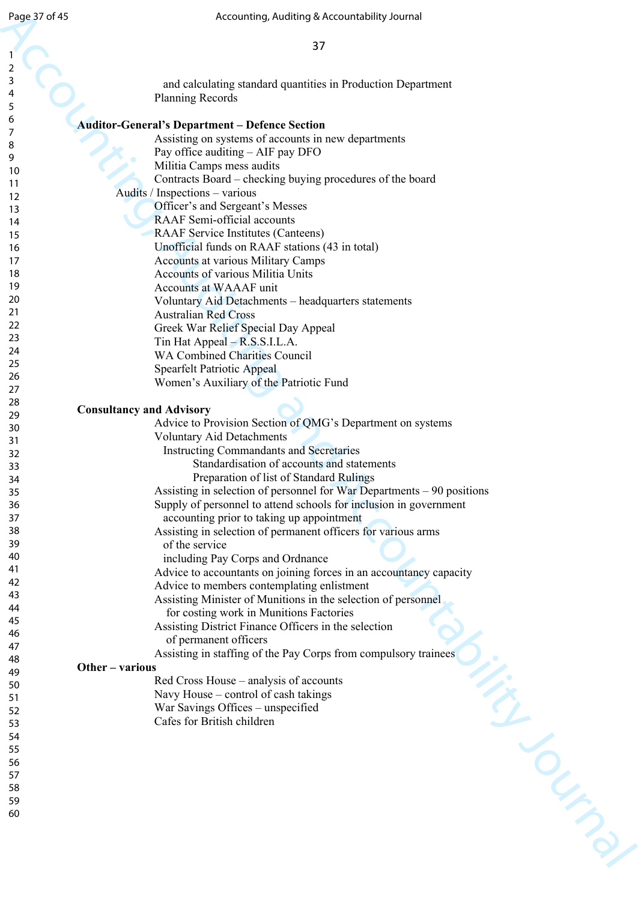| Page 37 of 45  | Accounting, Auditing & Accountability Journal                                                                  |
|----------------|----------------------------------------------------------------------------------------------------------------|
|                |                                                                                                                |
| 1              | 37                                                                                                             |
| $\overline{2}$ |                                                                                                                |
| 3              | and calculating standard quantities in Production Department                                                   |
| 4              | <b>Planning Records</b>                                                                                        |
| 5              |                                                                                                                |
| 6<br>7         | <b>Auditor-General's Department - Defence Section</b>                                                          |
| 8              | Assisting on systems of accounts in new departments                                                            |
| 9              | Pay office auditing - AIF pay DFO                                                                              |
| 10             | Militia Camps mess audits                                                                                      |
| 11             | Contracts Board – checking buying procedures of the board<br>Audits / Inspections - various                    |
| 12<br>13       | Officer's and Sergeant's Messes                                                                                |
| 14             | RAAF Semi-official accounts                                                                                    |
| 15             | <b>RAAF Service Institutes (Canteens)</b>                                                                      |
| 16             | Unofficial funds on RAAF stations (43 in total)                                                                |
| 17             | <b>Accounts at various Military Camps</b>                                                                      |
| 18             | <b>Accounts of various Militia Units</b>                                                                       |
| 19             | <b>Accounts at WAAAF unit</b>                                                                                  |
| 20<br>21       | Voluntary Aid Detachments - headquarters statements                                                            |
| 22             | <b>Australian Red Cross</b>                                                                                    |
| 23             | Greek War Relief Special Day Appeal                                                                            |
| 24             | Tin Hat Appeal – R.S.S.I.L.A.<br><b>WA Combined Charities Council</b>                                          |
| 25             | <b>Spearfelt Patriotic Appeal</b>                                                                              |
| 26             | Women's Auxiliary of the Patriotic Fund                                                                        |
| 27             |                                                                                                                |
| 28<br>29       | <b>Consultancy and Advisory</b>                                                                                |
| 30             | Advice to Provision Section of QMG's Department on systems                                                     |
| 31             | <b>Voluntary Aid Detachments</b>                                                                               |
| 32             | <b>Instructing Commandants and Secretaries</b>                                                                 |
| 33             | Standardisation of accounts and statements                                                                     |
| 34             | Preparation of list of Standard Rulings                                                                        |
| 35             | Assisting in selection of personnel for War Departments – 90 positions                                         |
| 36<br>37       | Supply of personnel to attend schools for inclusion in government<br>accounting prior to taking up appointment |
| 38             | Assisting in selection of permanent officers for various arms                                                  |
| 39             | of the service                                                                                                 |
| 40             | including Pay Corps and Ordnance                                                                               |
| 41             | Advice to accountants on joining forces in an accountancy capacity                                             |
| 42             | Advice to members contemplating enlistment                                                                     |
| 43             | Assisting Minister of Munitions in the selection of personnel                                                  |
| 44<br>45       | for costing work in Munitions Factories                                                                        |
| 46             | Assisting District Finance Officers in the selection                                                           |
| 47             | of permanent officers                                                                                          |
| 48             | Assisting in staffing of the Pay Corps from compulsory trainees                                                |
| 49             | Other - various<br>Red Cross House – analysis of accounts                                                      |
| 50             | Navy House – control of cash takings                                                                           |
| 51<br>52       | War Savings Offices - unspecified                                                                              |
| 53             | Cafes for British children                                                                                     |
| 54             |                                                                                                                |
| 55             |                                                                                                                |
| 56             |                                                                                                                |
| 57             |                                                                                                                |
| 58             |                                                                                                                |
| 59<br>60       |                                                                                                                |
|                |                                                                                                                |
|                | ilige of the Contract                                                                                          |
|                |                                                                                                                |
|                |                                                                                                                |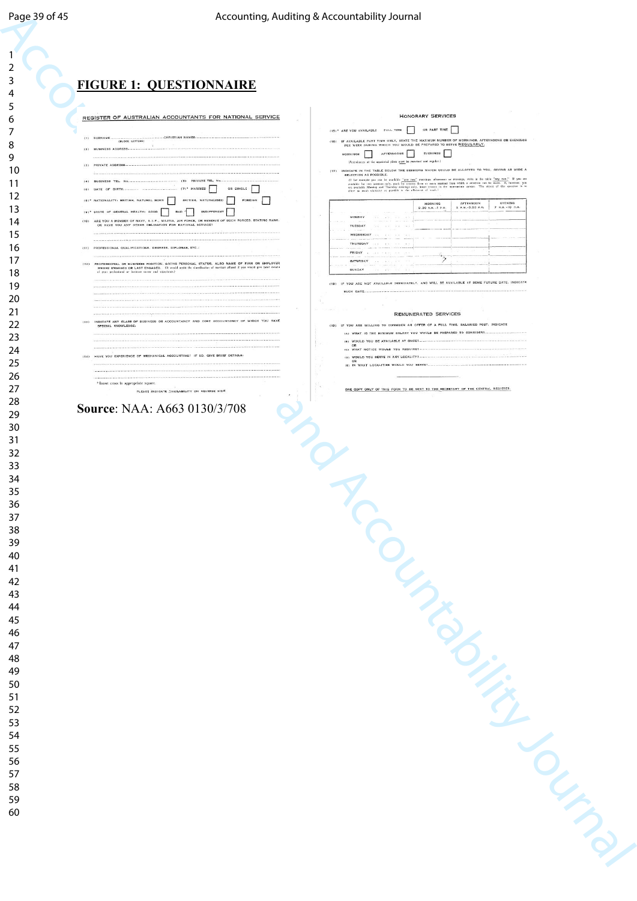| Page 39 of 45 | Accounting, Auditing & Accountability Journal                                                                                                                                                                                                                                                           |
|---------------|---------------------------------------------------------------------------------------------------------------------------------------------------------------------------------------------------------------------------------------------------------------------------------------------------------|
|               |                                                                                                                                                                                                                                                                                                         |
|               |                                                                                                                                                                                                                                                                                                         |
| 1             |                                                                                                                                                                                                                                                                                                         |
| $\mathbf 2$   |                                                                                                                                                                                                                                                                                                         |
| 3             | <b>FIGURE 1: QUESTIONNAIRE</b>                                                                                                                                                                                                                                                                          |
| 4             |                                                                                                                                                                                                                                                                                                         |
| 5             | <b>HONORARY SERVICES</b><br>REGISTER OF AUSTRALIAN ACCOUNTANTS FOR NATIONAL SERVICE                                                                                                                                                                                                                     |
| 6<br>7        | OR PART TIME<br>(15)* ARE YOU AVAILABLE FULL TIME<br>$\Box$                                                                                                                                                                                                                                             |
| 8             | -CHRISTIAN NAMES<br>$(1)$ SURNAME<br>(16) IF AVAILABLE PART TIME ONLY, STATE THE MAXIMUM NUMBER OF MORNINGS, AFTERNOONS OR EVENINGS<br>(BLOCK LETTERS)<br>PER WEEK DURING WHICH YOU WOULD BE PREPARED TO SERVE REGULARLY.                                                                               |
| 9             | (2) BUSINESS ADDRESS.<br><b>AFTERNOONS</b><br><b>EVENINGS</b><br>MORNINGS                                                                                                                                                                                                                               |
| 10            | (Attendances at the appointed place must be punctual and regular.)<br>(3) PRIVATE ADDRESS.<br>(17) INDICATE IN THE TABLE BELOW THE SESSIONS WHICH COULD BE ALLOTTED TO YOU, GIVING AS WIDE A                                                                                                            |
| 11            | SELECTION AS POSSIBLE.<br>III for exemple you can be available "ney two" montings, afternoons or aventags, write in the table "ney two." If you are available for two annivers mily, sask by consent there are more assistant from which a milestine ca<br>(5) PRIVATE TEL. No<br>(4) BUSINESS TEL. No. |
| 12            | OR SINGLE<br>$(7)^*$ MARRIED<br>(6) DATE OF BIRTH.<br>(8)* NATIONALITY: BRITISH, NATURAL BORN<br>BRITISH, NATURALISED<br>FOREIGN                                                                                                                                                                        |
| 13            | MORNING<br>AFTERNOON<br><b>KVENING</b><br>7 P.M. - IO F.M.<br>2 P.M. - 5.50 P.M.<br>9.30 A.M. - 1 P.M.<br>(9)* STATE OF GENERAL HEALTH: GOOD<br>BAD "<br><b>INDIFFERENT</b>                                                                                                                             |
| 14            | MONDAY<br>ARE YOU A MEMBER OF NAVY, A.I.P., MILITIA, AIR FORCE, OR RESERVE OF SUCH FORCES. STATING RANK.<br>(10)<br>OR HAVE YOU ANY OTHER OBLIGATION FOR NATIONAL SERVICE?<br>TUESDAY                                                                                                                   |
| 15            | WEDNESDAY                                                                                                                                                                                                                                                                                               |
| 16            | THURGDAY<br>(11) PROFESSIONAL QUALIFICATIONS, DEGREES, DIPLOMAS, ETC.;<br>FRIDAY                                                                                                                                                                                                                        |
| 17            | يبز<br>SATURDAY<br>(12) PROFESSIONAL OR BUSINESS POSITION, GIVING PERSONAL STATUS, ALSO NAME OF FIRM OR EMPLOYER<br>WHERE ENGAGED OR LAST ENGAGED. (It would assist the classification of services affered if you would give brief details                                                              |
| 18            | <b>BUNDAY</b><br>of your professional or business career and experience.)<br>(18) IF YOU ARE NOT AVAILABLE IMMEDIATELY, AND WILL BE AVAILABLE AT SOME FUTURE DATE, INDIGATE                                                                                                                             |
| 19            | SUCH DATE                                                                                                                                                                                                                                                                                               |
| 20<br>21      |                                                                                                                                                                                                                                                                                                         |
| 22            | <b>REMUNERATED SERVICES</b><br>(13) INDICATE ANY CLASS OF BUSINESS OR ACCOUNTANCY AND COST ACCOUNTANCY OF WHICH YOU HAVE<br>(19) IF YOU ARE WILLING TO CONSIDER AN OFFER OF A FULL TIME, SALARIED POST, INDICATE                                                                                        |
| 23            | SPECIAL KNOWLEDGE:<br>(A) WHAT IS THE MINIMUM SALARY YOU WOULD BE PREPARED TO CONSIDER?-                                                                                                                                                                                                                |
| 24            | 181 WOULD YOU BE AVAILABLE AT ONCE?<br>ICI WHAT NOTICE WOULD YOU REQUIRE?                                                                                                                                                                                                                               |
| 25            | (14) HAVE YOU EXPERIENCE OF MECHANICAL ACCOUNTING? IF SO, GIVE BRIEF DETAILS:<br>(D) WOULD YOU SERVE IN ANY LOCALITY?<br>(E) IN WHAT LOCALITIES WOULD YOU SERVET                                                                                                                                        |
| 26            |                                                                                                                                                                                                                                                                                                         |
| 27            | * Insert cross in appropriate square.<br>ONE COPY ONLY OF THIS FORM TO BE SENT TO THE BECRETARY OF THE CENTRAL REGISTER.<br>PLEASE INDICATE (VAILABILITY ON REVERSE SIDE                                                                                                                                |
| 28            | Source: NAA: A663 0130/3/708                                                                                                                                                                                                                                                                            |
| 29            |                                                                                                                                                                                                                                                                                                         |
| 30            |                                                                                                                                                                                                                                                                                                         |
| 31            |                                                                                                                                                                                                                                                                                                         |
| 32<br>33      |                                                                                                                                                                                                                                                                                                         |
| 34            |                                                                                                                                                                                                                                                                                                         |
|               |                                                                                                                                                                                                                                                                                                         |
| 35<br>36      |                                                                                                                                                                                                                                                                                                         |
| 37            |                                                                                                                                                                                                                                                                                                         |
| 38            |                                                                                                                                                                                                                                                                                                         |
| 39            |                                                                                                                                                                                                                                                                                                         |
| 40            |                                                                                                                                                                                                                                                                                                         |
| 41            |                                                                                                                                                                                                                                                                                                         |
| 42            |                                                                                                                                                                                                                                                                                                         |
| 43            |                                                                                                                                                                                                                                                                                                         |
| 44            |                                                                                                                                                                                                                                                                                                         |
| 45<br>46      |                                                                                                                                                                                                                                                                                                         |
| 47            |                                                                                                                                                                                                                                                                                                         |
| 48            |                                                                                                                                                                                                                                                                                                         |
| 49            |                                                                                                                                                                                                                                                                                                         |
| 50            |                                                                                                                                                                                                                                                                                                         |
| 51            |                                                                                                                                                                                                                                                                                                         |
| 52            |                                                                                                                                                                                                                                                                                                         |
| 53            |                                                                                                                                                                                                                                                                                                         |
| 54            |                                                                                                                                                                                                                                                                                                         |
| 55            |                                                                                                                                                                                                                                                                                                         |
| 56<br>57      |                                                                                                                                                                                                                                                                                                         |
| 58            |                                                                                                                                                                                                                                                                                                         |
|               |                                                                                                                                                                                                                                                                                                         |
| 59<br>60      |                                                                                                                                                                                                                                                                                                         |
|               |                                                                                                                                                                                                                                                                                                         |
|               |                                                                                                                                                                                                                                                                                                         |
|               |                                                                                                                                                                                                                                                                                                         |
|               |                                                                                                                                                                                                                                                                                                         |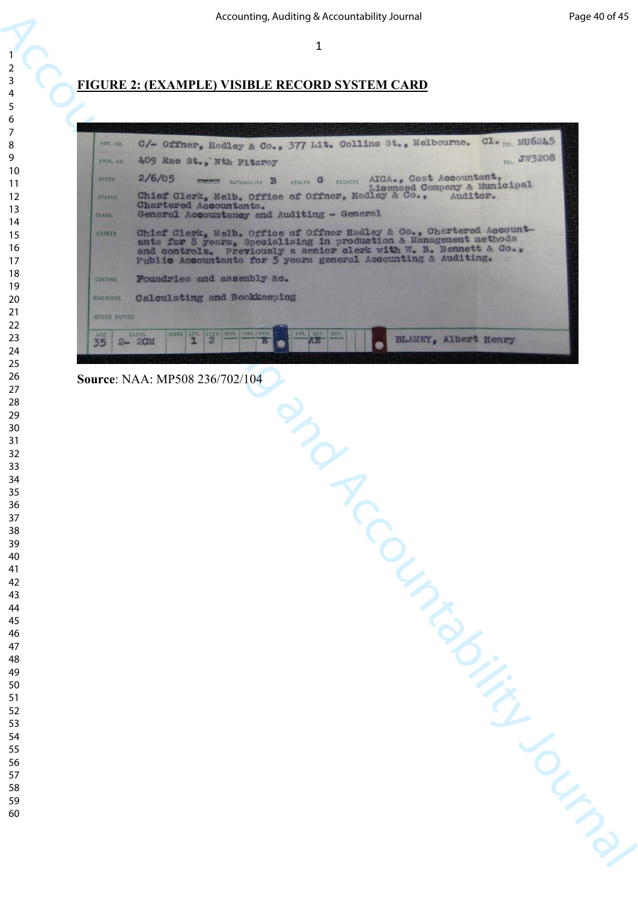## **FIGURE 2: (EXAMPLE) VISIBLE RECORD SYSTEM CARD**

|                                  | Accounting, Auditing & Accountability Journal                                                                                                                                                                                                                                   | Page 40 of 45 |
|----------------------------------|---------------------------------------------------------------------------------------------------------------------------------------------------------------------------------------------------------------------------------------------------------------------------------|---------------|
|                                  | $\mathbf{1}$                                                                                                                                                                                                                                                                    |               |
|                                  |                                                                                                                                                                                                                                                                                 |               |
|                                  | <u> FIGURE 2: (EXAMPLE) VISIBLE RECORD SYSTEM CARD</u>                                                                                                                                                                                                                          |               |
|                                  |                                                                                                                                                                                                                                                                                 |               |
|                                  |                                                                                                                                                                                                                                                                                 |               |
| BUS. AD.                         | C1. <sub>TEL.</sub> MU6245<br>C/- Offner, Hadley & Co., 377 Lit. Collins St., Melbourne.<br><b>TEL. JW3208</b>                                                                                                                                                                  |               |
| PRIV. AD.                        | 409 Rae St., Nth Fitzroy                                                                                                                                                                                                                                                        |               |
| BIRTH<br><b>STATUS</b><br>CLASS. | 2/6/05<br><b>EXECUTE NATIONALITY B</b> HEALTH G DEGREES AICA., COST Accountant,<br>Licensed Company & Municipal<br>Chief Clerk, Melb. Office of Offner, Hadley & Co.,<br>Auditor.<br>Chartered Accountants.<br>General Accountancy and Auditing - General                       |               |
| CAREER                           | Chief Clerk, Melb. Office of Offner Hadley & Co., Chartered Account-<br>ants for 8 years, Specialising in production & Management methods<br>and controls. Previously a senior clerk with W. B. Bennett & Co.,<br>Public Accountants for 5 years general Accounting & Auditing. |               |
| <b>COSTING</b>                   | Foundries and assembly &c.                                                                                                                                                                                                                                                      |               |
| <b>MACHINES</b>                  | Calculating and Bookkeeping                                                                                                                                                                                                                                                     |               |
| <b>OTHER DUTIES</b>              |                                                                                                                                                                                                                                                                                 |               |
| AGE<br>35                        | EVEN. MON. TUES. WED.<br>SUN.<br>CLASS.<br>MORN AFT.<br>ERL.<br>SAT.<br><b>BLAMEY, Albert Henry</b><br>$\overline{c}$<br>ı<br>$2 - 2$ CM                                                                                                                                        |               |
|                                  |                                                                                                                                                                                                                                                                                 |               |
|                                  | Source: NAA: MP508 236/702/104                                                                                                                                                                                                                                                  |               |
|                                  |                                                                                                                                                                                                                                                                                 |               |
|                                  |                                                                                                                                                                                                                                                                                 |               |
|                                  | nd                                                                                                                                                                                                                                                                              |               |
|                                  |                                                                                                                                                                                                                                                                                 |               |
|                                  |                                                                                                                                                                                                                                                                                 |               |
|                                  |                                                                                                                                                                                                                                                                                 |               |
|                                  |                                                                                                                                                                                                                                                                                 |               |
|                                  |                                                                                                                                                                                                                                                                                 |               |
|                                  |                                                                                                                                                                                                                                                                                 |               |
|                                  |                                                                                                                                                                                                                                                                                 |               |
|                                  |                                                                                                                                                                                                                                                                                 |               |
|                                  |                                                                                                                                                                                                                                                                                 |               |
|                                  |                                                                                                                                                                                                                                                                                 |               |
|                                  |                                                                                                                                                                                                                                                                                 |               |
|                                  |                                                                                                                                                                                                                                                                                 |               |
|                                  |                                                                                                                                                                                                                                                                                 |               |
|                                  |                                                                                                                                                                                                                                                                                 |               |
|                                  |                                                                                                                                                                                                                                                                                 |               |
|                                  |                                                                                                                                                                                                                                                                                 |               |
|                                  |                                                                                                                                                                                                                                                                                 |               |
|                                  |                                                                                                                                                                                                                                                                                 |               |
|                                  |                                                                                                                                                                                                                                                                                 |               |
|                                  | ICCOUNTING CUTING                                                                                                                                                                                                                                                               |               |
|                                  |                                                                                                                                                                                                                                                                                 |               |
|                                  |                                                                                                                                                                                                                                                                                 |               |
|                                  |                                                                                                                                                                                                                                                                                 |               |
|                                  |                                                                                                                                                                                                                                                                                 |               |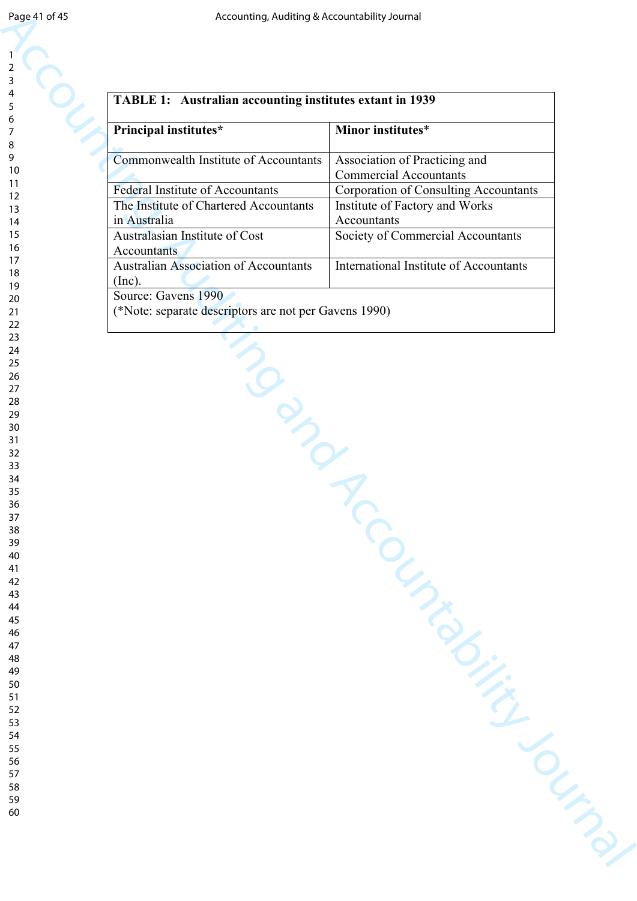| Page 41 of 45  | Accounting, Auditing & Accountability Journal            |                                               |
|----------------|----------------------------------------------------------|-----------------------------------------------|
|                |                                                          |                                               |
| $\mathbf{1}$   |                                                          |                                               |
| $\overline{2}$ |                                                          |                                               |
| 3<br>4         |                                                          |                                               |
| 5              | TABLE 1: Australian accounting institutes extant in 1939 |                                               |
| 6              |                                                          |                                               |
| 7              | Principal institutes*                                    | Minor institutes*                             |
| 8<br>9         | Commonwealth Institute of Accountants                    | Association of Practicing and                 |
| 10             |                                                          | <b>Commercial Accountants</b>                 |
| 11<br>12       | Federal Institute of Accountants                         | <b>Corporation of Consulting Accountants</b>  |
| 13             | The Institute of Chartered Accountants                   | Institute of Factory and Works                |
| 14             | in Australia                                             | Accountants                                   |
| 15             | Australasian Institute of Cost                           | Society of Commercial Accountants             |
| 16<br>17       | Accountants                                              |                                               |
| 18             | <b>Australian Association of Accountants</b>             | <b>International Institute of Accountants</b> |
| 19             | (Inc).<br>Source: Gavens 1990                            |                                               |
| 20<br>21       | (*Note: separate descriptors are not per Gavens 1990)    |                                               |
| 22             |                                                          |                                               |
| 23             |                                                          |                                               |
| 24<br>25       |                                                          |                                               |
| 26             |                                                          |                                               |
| 27<br>28       | Non                                                      |                                               |
| 29             |                                                          |                                               |
| 30             |                                                          |                                               |
| 31<br>32       |                                                          |                                               |
| 33             |                                                          |                                               |
| 34             |                                                          |                                               |
| 35             |                                                          |                                               |
| 36<br>37       |                                                          |                                               |
| 38             |                                                          |                                               |
| 39             |                                                          |                                               |
| 40<br>41       |                                                          |                                               |
| 42             |                                                          |                                               |
| 43             |                                                          |                                               |
| 44<br>45       |                                                          |                                               |
| 46             |                                                          |                                               |
| 47             |                                                          |                                               |
| 48<br>49       |                                                          |                                               |
| 50             |                                                          |                                               |
| 51             |                                                          |                                               |
| 52<br>53       |                                                          |                                               |
| 54             |                                                          |                                               |
| 55             |                                                          |                                               |
| 56<br>57       |                                                          |                                               |
| 58             |                                                          |                                               |
| 59             |                                                          |                                               |
| 60             |                                                          |                                               |
|                |                                                          |                                               |
|                |                                                          |                                               |
|                |                                                          |                                               |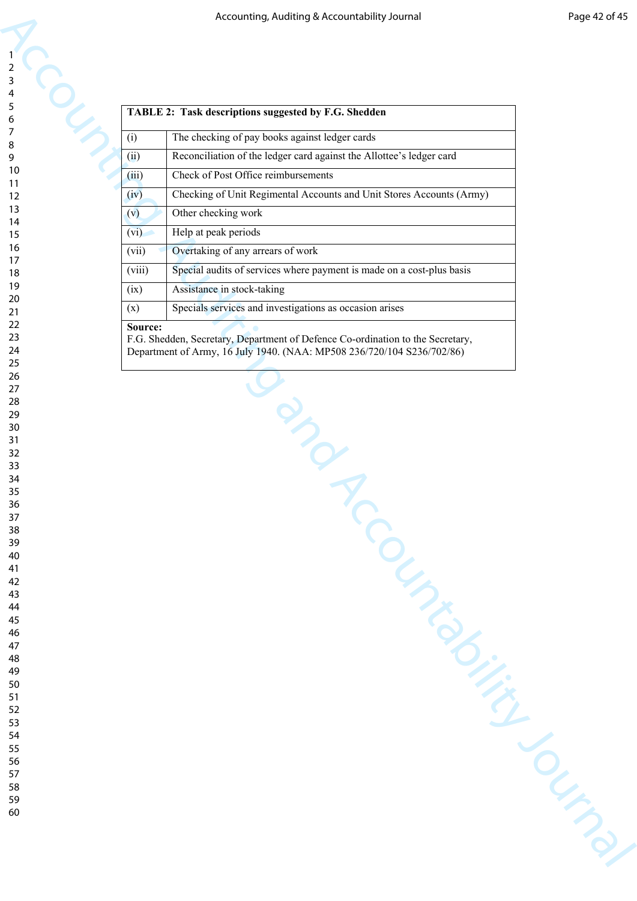|                                                 |                | Accounting, Auditing & Accountability Journal                                  | Page 42 of 45 |
|-------------------------------------------------|----------------|--------------------------------------------------------------------------------|---------------|
|                                                 |                |                                                                                |               |
| sing                                            |                |                                                                                |               |
| $\begin{array}{c} 1 \\ 2 \\ 3 \\ 4 \end{array}$ |                |                                                                                |               |
|                                                 |                | TABLE 2: Task descriptions suggested by F.G. Shedden                           |               |
|                                                 |                |                                                                                |               |
|                                                 | (i)            | The checking of pay books against ledger cards                                 |               |
| 10                                              | (ii)           | Reconciliation of the ledger card against the Allottee's ledger card           |               |
| 11                                              | (iii)          | Check of Post Office reimbursements                                            |               |
| 12<br>13                                        | (iv)           | Checking of Unit Regimental Accounts and Unit Stores Accounts (Army)           |               |
| 14                                              | (v)            | Other checking work                                                            |               |
| 15<br>16                                        | (vi)           | Help at peak periods                                                           |               |
| 17                                              | (vii)          | Overtaking of any arrears of work                                              |               |
| 18<br>19                                        | (viii)         | Special audits of services where payment is made on a cost-plus basis          |               |
| 20                                              | (ix)           | Assistance in stock-taking                                                     |               |
| 21<br>22                                        | (x)<br>Source: | Specials services and investigations as occasion arises                        |               |
| 23                                              |                | F.G. Shedden, Secretary, Department of Defence Co-ordination to the Secretary, |               |
| 24<br>25                                        |                | Department of Army, 16 July 1940. (NAA: MP508 236/720/104 S236/702/86)         |               |
| 26                                              |                |                                                                                |               |
| 27<br>28                                        |                |                                                                                |               |
| 29                                              |                |                                                                                |               |
| 30<br>31                                        |                |                                                                                |               |
| 32                                              |                | Labas                                                                          |               |
| 33<br>34                                        |                |                                                                                |               |
| 35<br>36                                        |                |                                                                                |               |
| 37                                              |                |                                                                                |               |
| 38<br>39                                        |                |                                                                                |               |
| 40                                              |                |                                                                                |               |
| 41<br>42                                        |                |                                                                                |               |
| 43                                              |                |                                                                                |               |
| 44<br>45                                        |                |                                                                                |               |
| 46                                              |                |                                                                                |               |
| 47<br>48                                        |                |                                                                                |               |
| 49                                              |                |                                                                                |               |
| 50<br>51                                        |                |                                                                                |               |
| 52                                              |                |                                                                                |               |
| 53<br>54                                        |                |                                                                                |               |
| 55                                              |                |                                                                                |               |
| 56<br>57                                        |                |                                                                                |               |
| 58                                              |                |                                                                                |               |
| 59<br>60                                        |                |                                                                                |               |
|                                                 |                |                                                                                |               |
|                                                 |                |                                                                                |               |
|                                                 |                |                                                                                |               |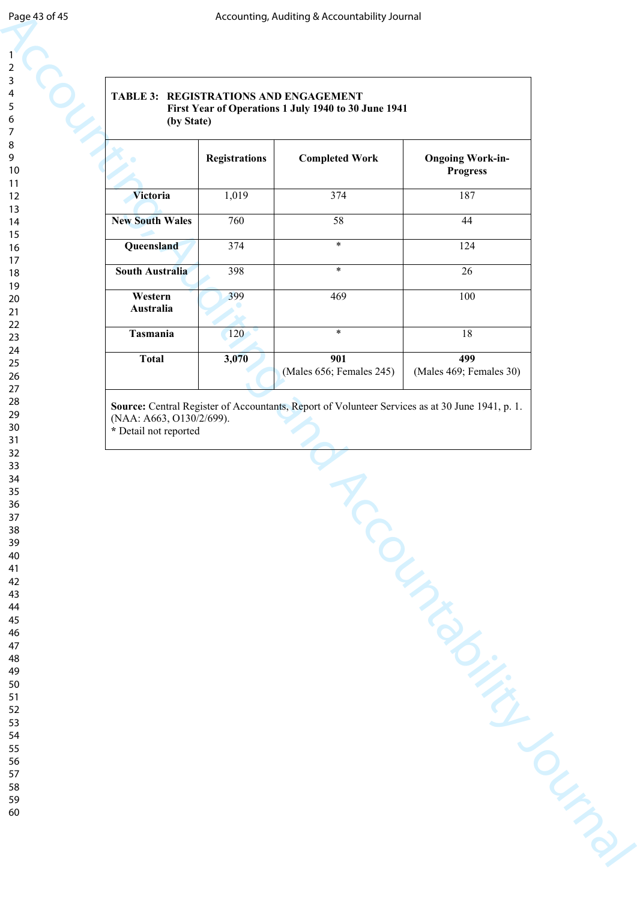| Page 43 of 45  |                          |                      | Accounting, Auditing & Accountability Journal                                                   |                                            |  |
|----------------|--------------------------|----------------------|-------------------------------------------------------------------------------------------------|--------------------------------------------|--|
|                |                          |                      |                                                                                                 |                                            |  |
| $\mathbf{1}$   |                          |                      |                                                                                                 |                                            |  |
| $\overline{c}$ |                          |                      |                                                                                                 |                                            |  |
| 3              |                          |                      |                                                                                                 |                                            |  |
| 4<br>5         |                          |                      | <b>TABLE 3: REGISTRATIONS AND ENGAGEMENT</b>                                                    |                                            |  |
| $\infty$<br>6  | (by State)               |                      | First Year of Operations 1 July 1940 to 30 June 1941                                            |                                            |  |
| $\overline{7}$ |                          |                      |                                                                                                 |                                            |  |
| 8              |                          |                      |                                                                                                 |                                            |  |
| 9<br>10        |                          | <b>Registrations</b> | <b>Completed Work</b>                                                                           | <b>Ongoing Work-in-</b><br><b>Progress</b> |  |
| 11             |                          |                      |                                                                                                 |                                            |  |
| 12             | Victoria                 | 1,019                | 374                                                                                             | 187                                        |  |
| 13             |                          |                      |                                                                                                 |                                            |  |
| 14<br>15       | <b>New South Wales</b>   | 760                  | 58                                                                                              | 44                                         |  |
| 16             | Queensland               | 374                  | $\ast$                                                                                          | 124                                        |  |
| 17             |                          |                      |                                                                                                 |                                            |  |
| 18             | <b>South Australia</b>   | 398                  | $\ast$                                                                                          | 26                                         |  |
| 19             | Western                  | 399                  | 469                                                                                             | 100                                        |  |
| $20\,$<br>21   | Australia                |                      |                                                                                                 |                                            |  |
| 22             |                          |                      |                                                                                                 |                                            |  |
| 23             | Tasmania                 | 120                  | $\ast$                                                                                          | 18                                         |  |
| 24             | <b>Total</b>             | 3,070                | 901                                                                                             | 499                                        |  |
| 25<br>26       |                          |                      | (Males 656; Females 245)                                                                        | (Males 469; Females 30)                    |  |
| 27             |                          |                      |                                                                                                 |                                            |  |
| 28             |                          |                      | Source: Central Register of Accountants, Report of Volunteer Services as at 30 June 1941, p. 1. |                                            |  |
| 29             | (NAA: A663, O130/2/699). |                      |                                                                                                 |                                            |  |
| 30<br>31       | * Detail not reported    |                      |                                                                                                 |                                            |  |
| 32             |                          |                      |                                                                                                 |                                            |  |
| 33             |                          |                      |                                                                                                 |                                            |  |
| 34             |                          |                      |                                                                                                 |                                            |  |
| $35\,$<br>36   |                          |                      |                                                                                                 |                                            |  |
| 37             |                          |                      |                                                                                                 |                                            |  |
| 38             |                          |                      |                                                                                                 |                                            |  |
| 39             |                          |                      |                                                                                                 |                                            |  |
| 40             |                          |                      |                                                                                                 |                                            |  |
| 41<br>42       |                          |                      |                                                                                                 |                                            |  |
| 43             |                          |                      |                                                                                                 |                                            |  |
| 44             |                          |                      |                                                                                                 |                                            |  |
| 45             |                          |                      |                                                                                                 |                                            |  |
| 46<br>47       |                          |                      |                                                                                                 |                                            |  |
| 48             |                          |                      |                                                                                                 |                                            |  |
| 49             |                          |                      |                                                                                                 |                                            |  |
| 50             |                          |                      |                                                                                                 |                                            |  |
| 51<br>52       |                          |                      |                                                                                                 |                                            |  |
| 53             |                          |                      |                                                                                                 |                                            |  |
| 54             |                          |                      |                                                                                                 |                                            |  |
| 55             |                          |                      |                                                                                                 |                                            |  |
| 56             |                          |                      |                                                                                                 |                                            |  |
| 57<br>58       |                          |                      |                                                                                                 |                                            |  |
| 59             |                          |                      |                                                                                                 |                                            |  |
| 60             |                          |                      |                                                                                                 |                                            |  |
|                |                          |                      |                                                                                                 |                                            |  |
|                |                          |                      |                                                                                                 |                                            |  |
|                |                          |                      |                                                                                                 |                                            |  |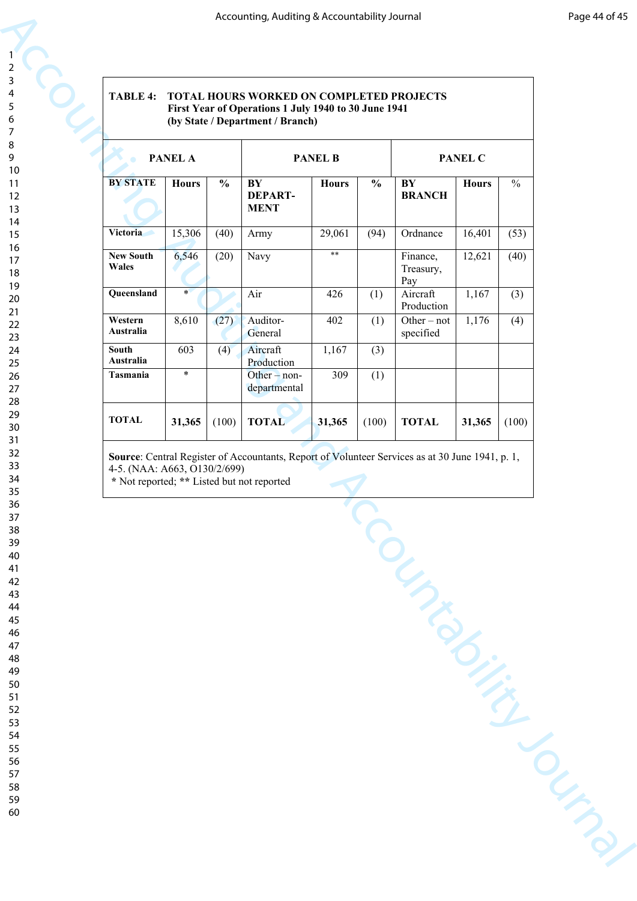#### **TABLE 4: TOTAL HOURS WORKED ON COMPLETED PROJECTS First Year of Operations 1 July 1940 to 30 June 1941 (by State / Department / Branch)**

| <b>TABLE 4:</b><br>TOTAL HOURS WORKED ON COMPLETED PROJECTS<br>First Year of Operations 1 July 1940 to 30 June 1941<br>(by State / Department / Branch) |                |               |                                                                    |              |               |                              |              |               |  |  |
|---------------------------------------------------------------------------------------------------------------------------------------------------------|----------------|---------------|--------------------------------------------------------------------|--------------|---------------|------------------------------|--------------|---------------|--|--|
|                                                                                                                                                         | <b>PANEL A</b> |               | <b>PANEL B</b>                                                     |              |               | PANEL C                      |              |               |  |  |
| <b>BY STATE</b>                                                                                                                                         | <b>Hours</b>   | $\frac{0}{0}$ | $\overline{\mathbf{B}\mathbf{Y}}$<br><b>DEPART-</b><br><b>MENT</b> | <b>Hours</b> | $\frac{0}{0}$ | BY<br><b>BRANCH</b>          | <b>Hours</b> | $\frac{0}{0}$ |  |  |
| Victoria                                                                                                                                                | 15,306         | (40)          | Army                                                               | 29,061       | (94)          | Ordnance                     | 16,401       | (53)          |  |  |
| <b>New South</b><br>Wales                                                                                                                               | 6,546          | (20)          | Navy                                                               | $**$         |               | Finance,<br>Treasury,<br>Pay | 12,621       | (40)          |  |  |
| Queensland                                                                                                                                              | $\star$        |               | Air                                                                | 426          | (1)           | Aircraft<br>Production       | 1,167        | (3)           |  |  |
| Western<br>Australia                                                                                                                                    | 8,610          | (27)          | Auditor-<br>General                                                | 402          | (1)           | Other $-$ not<br>specified   | 1,176        | (4)           |  |  |
| <b>South</b><br>Australia                                                                                                                               | 603            | (4)           | Aircraft<br>Production                                             | 1,167        | (3)           |                              |              |               |  |  |
| Tasmania                                                                                                                                                | $\ast$         |               | Other $-$ non-<br>departmental                                     | 309          | (1)           |                              |              |               |  |  |
| <b>TOTAL</b>                                                                                                                                            | 31,365         | (100)         | <b>TOTAL</b>                                                       | 31,365       | (100)         | <b>TOTAL</b>                 | 31,365       | (100)         |  |  |
|                                                                                                                                                         |                |               |                                                                    |              |               |                              |              |               |  |  |